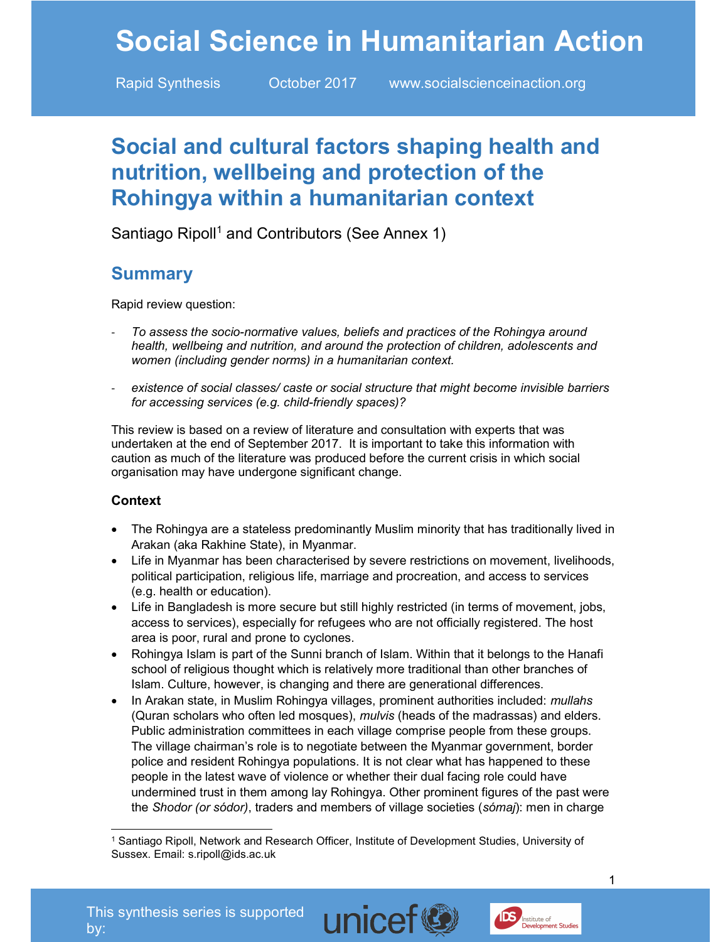# Social Science in Humanitarian Action

Rapid Synthesis October 2017 www.socialscienceinaction.org

## Social and cultural factors shaping health and nutrition, wellbeing and protection of the Rohingya within a humanitarian context

Santiago Ripoll<sup>1</sup> and Contributors (See Annex 1)

### **Summary**

Rapid review question:

- To assess the socio-normative values, beliefs and practices of the Rohingya around health, wellbeing and nutrition, and around the protection of children, adolescents and women (including gender norms) in a humanitarian context.
- existence of social classes/ caste or social structure that might become invisible barriers for accessing services (e.g. child-friendly spaces)?

This review is based on a review of literature and consultation with experts that was undertaken at the end of September 2017. It is important to take this information with caution as much of the literature was produced before the current crisis in which social organisation may have undergone significant change.

#### **Context**

-

- The Rohingya are a stateless predominantly Muslim minority that has traditionally lived in Arakan (aka Rakhine State), in Myanmar.
- Life in Myanmar has been characterised by severe restrictions on movement, livelihoods, political participation, religious life, marriage and procreation, and access to services (e.g. health or education).
- Life in Bangladesh is more secure but still highly restricted (in terms of movement, jobs, access to services), especially for refugees who are not officially registered. The host area is poor, rural and prone to cyclones.
- Rohingya Islam is part of the Sunni branch of Islam. Within that it belongs to the Hanafi school of religious thought which is relatively more traditional than other branches of Islam. Culture, however, is changing and there are generational differences.
- In Arakan state, in Muslim Rohingya villages, prominent authorities included: *mullahs* (Quran scholars who often led mosques), mulvis (heads of the madrassas) and elders. Public administration committees in each village comprise people from these groups. The village chairman's role is to negotiate between the Myanmar government, border police and resident Rohingya populations. It is not clear what has happened to these people in the latest wave of violence or whether their dual facing role could have undermined trust in them among lay Rohingya. Other prominent figures of the past were the Shodor (or sódor), traders and members of village societies (sómaj): men in charge





<sup>1</sup> Santiago Ripoll, Network and Research Officer, Institute of Development Studies, University of Sussex. Email: s.ripoll@ids.ac.uk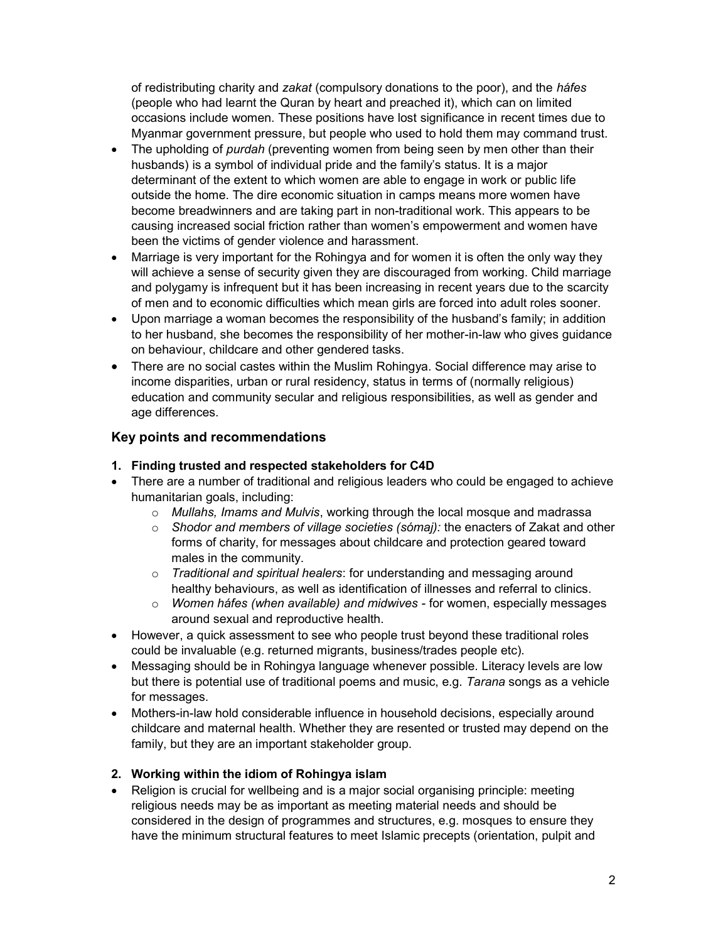of redistributing charity and zakat (compulsory donations to the poor), and the *háfes* (people who had learnt the Quran by heart and preached it), which can on limited occasions include women. These positions have lost significance in recent times due to Myanmar government pressure, but people who used to hold them may command trust.

- The upholding of purdah (preventing women from being seen by men other than their husbands) is a symbol of individual pride and the family's status. It is a major determinant of the extent to which women are able to engage in work or public life outside the home. The dire economic situation in camps means more women have become breadwinners and are taking part in non-traditional work. This appears to be causing increased social friction rather than women's empowerment and women have been the victims of gender violence and harassment.
- Marriage is very important for the Rohingya and for women it is often the only way they will achieve a sense of security given they are discouraged from working. Child marriage and polygamy is infrequent but it has been increasing in recent years due to the scarcity of men and to economic difficulties which mean girls are forced into adult roles sooner.
- Upon marriage a woman becomes the responsibility of the husband's family; in addition to her husband, she becomes the responsibility of her mother-in-law who gives guidance on behaviour, childcare and other gendered tasks.
- There are no social castes within the Muslim Rohingya. Social difference may arise to income disparities, urban or rural residency, status in terms of (normally religious) education and community secular and religious responsibilities, as well as gender and age differences.

#### Key points and recommendations

#### 1. Finding trusted and respected stakeholders for C4D

- There are a number of traditional and religious leaders who could be engaged to achieve humanitarian goals, including:
	- o Mullahs, Imams and Mulvis, working through the local mosque and madrassa
	- $\circ$  Shodor and members of village societies (sómaj): the enacters of Zakat and other forms of charity, for messages about childcare and protection geared toward males in the community.
	- o Traditional and spiritual healers: for understanding and messaging around healthy behaviours, as well as identification of illnesses and referral to clinics.
	- $\circ$  Women háfes (when available) and midwives for women, especially messages around sexual and reproductive health.
- However, a quick assessment to see who people trust beyond these traditional roles could be invaluable (e.g. returned migrants, business/trades people etc).
- Messaging should be in Rohingya language whenever possible. Literacy levels are low but there is potential use of traditional poems and music, e.g. Tarana songs as a vehicle for messages.
- Mothers-in-law hold considerable influence in household decisions, especially around childcare and maternal health. Whether they are resented or trusted may depend on the family, but they are an important stakeholder group.

#### 2. Working within the idiom of Rohingya islam

 Religion is crucial for wellbeing and is a major social organising principle: meeting religious needs may be as important as meeting material needs and should be considered in the design of programmes and structures, e.g. mosques to ensure they have the minimum structural features to meet Islamic precepts (orientation, pulpit and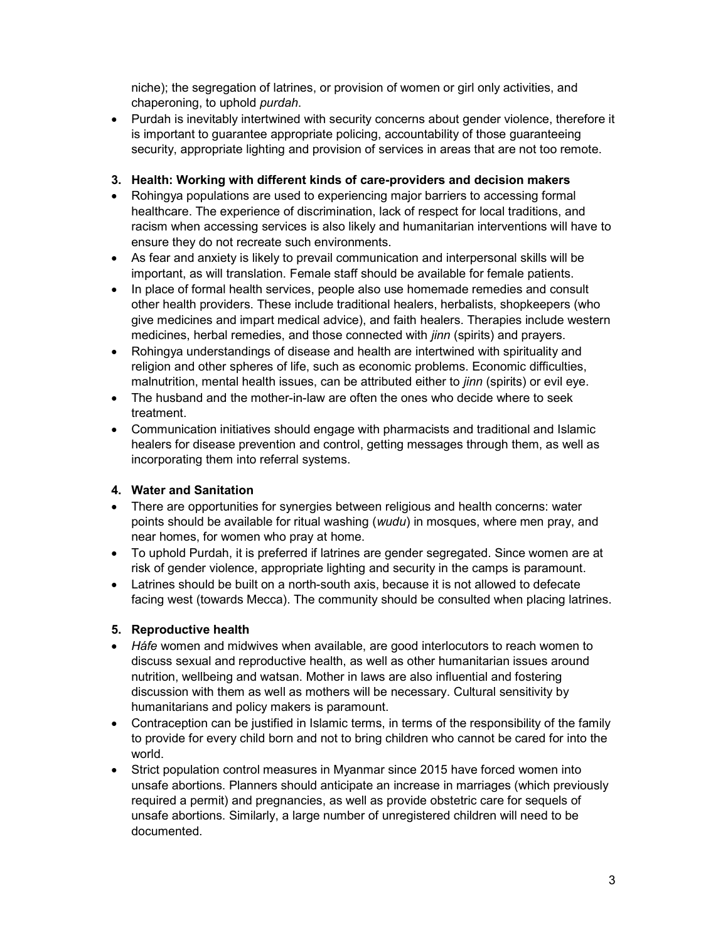niche); the segregation of latrines, or provision of women or girl only activities, and chaperoning, to uphold purdah.

 Purdah is inevitably intertwined with security concerns about gender violence, therefore it is important to guarantee appropriate policing, accountability of those guaranteeing security, appropriate lighting and provision of services in areas that are not too remote.

#### 3. Health: Working with different kinds of care-providers and decision makers

- Rohingya populations are used to experiencing major barriers to accessing formal healthcare. The experience of discrimination, lack of respect for local traditions, and racism when accessing services is also likely and humanitarian interventions will have to ensure they do not recreate such environments.
- As fear and anxiety is likely to prevail communication and interpersonal skills will be important, as will translation. Female staff should be available for female patients.
- In place of formal health services, people also use homemade remedies and consult other health providers. These include traditional healers, herbalists, shopkeepers (who give medicines and impart medical advice), and faith healers. Therapies include western medicines, herbal remedies, and those connected with *jinn* (spirits) and prayers.
- Rohingya understandings of disease and health are intertwined with spirituality and religion and other spheres of life, such as economic problems. Economic difficulties, malnutrition, mental health issues, can be attributed either to *jinn* (spirits) or evil eye.
- The husband and the mother-in-law are often the ones who decide where to seek treatment.
- Communication initiatives should engage with pharmacists and traditional and Islamic healers for disease prevention and control, getting messages through them, as well as incorporating them into referral systems.

#### 4. Water and Sanitation

- There are opportunities for synergies between religious and health concerns: water points should be available for ritual washing ( $wudu$ ) in mosques, where men pray, and near homes, for women who pray at home.
- To uphold Purdah, it is preferred if latrines are gender segregated. Since women are at risk of gender violence, appropriate lighting and security in the camps is paramount.
- Latrines should be built on a north-south axis, because it is not allowed to defecate facing west (towards Mecca). The community should be consulted when placing latrines.

#### 5. Reproductive health

- Háfe women and midwives when available, are good interlocutors to reach women to discuss sexual and reproductive health, as well as other humanitarian issues around nutrition, wellbeing and watsan. Mother in laws are also influential and fostering discussion with them as well as mothers will be necessary. Cultural sensitivity by humanitarians and policy makers is paramount.
- Contraception can be justified in Islamic terms, in terms of the responsibility of the family to provide for every child born and not to bring children who cannot be cared for into the world.
- Strict population control measures in Myanmar since 2015 have forced women into unsafe abortions. Planners should anticipate an increase in marriages (which previously required a permit) and pregnancies, as well as provide obstetric care for sequels of unsafe abortions. Similarly, a large number of unregistered children will need to be documented.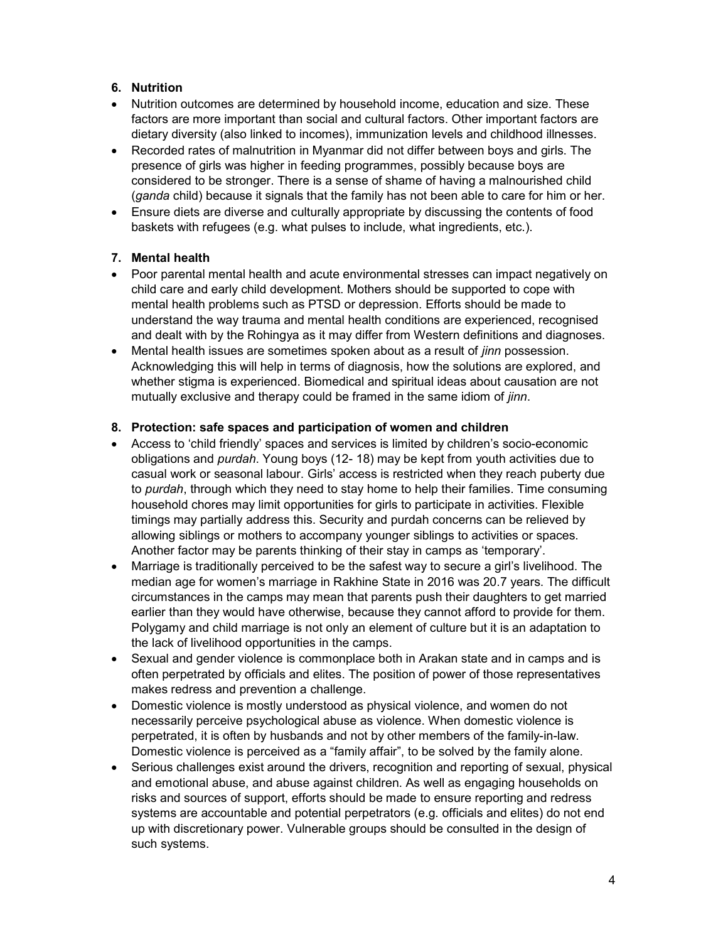#### 6. Nutrition

- Nutrition outcomes are determined by household income, education and size. These factors are more important than social and cultural factors. Other important factors are dietary diversity (also linked to incomes), immunization levels and childhood illnesses.
- Recorded rates of malnutrition in Myanmar did not differ between boys and girls. The presence of girls was higher in feeding programmes, possibly because boys are considered to be stronger. There is a sense of shame of having a malnourished child (ganda child) because it signals that the family has not been able to care for him or her.
- Ensure diets are diverse and culturally appropriate by discussing the contents of food baskets with refugees (e.g. what pulses to include, what ingredients, etc.).

#### 7. Mental health

- Poor parental mental health and acute environmental stresses can impact negatively on child care and early child development. Mothers should be supported to cope with mental health problems such as PTSD or depression. Efforts should be made to understand the way trauma and mental health conditions are experienced, recognised and dealt with by the Rohingya as it may differ from Western definitions and diagnoses.
- Mental health issues are sometimes spoken about as a result of *jinn* possession. Acknowledging this will help in terms of diagnosis, how the solutions are explored, and whether stigma is experienced. Biomedical and spiritual ideas about causation are not mutually exclusive and therapy could be framed in the same idiom of *jinn*.

#### 8. Protection: safe spaces and participation of women and children

- Access to 'child friendly' spaces and services is limited by children's socio-economic obligations and purdah. Young boys (12- 18) may be kept from youth activities due to casual work or seasonal labour. Girls' access is restricted when they reach puberty due to *purdah*, through which they need to stay home to help their families. Time consuming household chores may limit opportunities for girls to participate in activities. Flexible timings may partially address this. Security and purdah concerns can be relieved by allowing siblings or mothers to accompany younger siblings to activities or spaces. Another factor may be parents thinking of their stay in camps as 'temporary'.
- Marriage is traditionally perceived to be the safest way to secure a girl's livelihood. The median age for women's marriage in Rakhine State in 2016 was 20.7 years. The difficult circumstances in the camps may mean that parents push their daughters to get married earlier than they would have otherwise, because they cannot afford to provide for them. Polygamy and child marriage is not only an element of culture but it is an adaptation to the lack of livelihood opportunities in the camps.
- Sexual and gender violence is commonplace both in Arakan state and in camps and is often perpetrated by officials and elites. The position of power of those representatives makes redress and prevention a challenge.
- Domestic violence is mostly understood as physical violence, and women do not necessarily perceive psychological abuse as violence. When domestic violence is perpetrated, it is often by husbands and not by other members of the family-in-law. Domestic violence is perceived as a "family affair", to be solved by the family alone.
- Serious challenges exist around the drivers, recognition and reporting of sexual, physical and emotional abuse, and abuse against children. As well as engaging households on risks and sources of support, efforts should be made to ensure reporting and redress systems are accountable and potential perpetrators (e.g. officials and elites) do not end up with discretionary power. Vulnerable groups should be consulted in the design of such systems.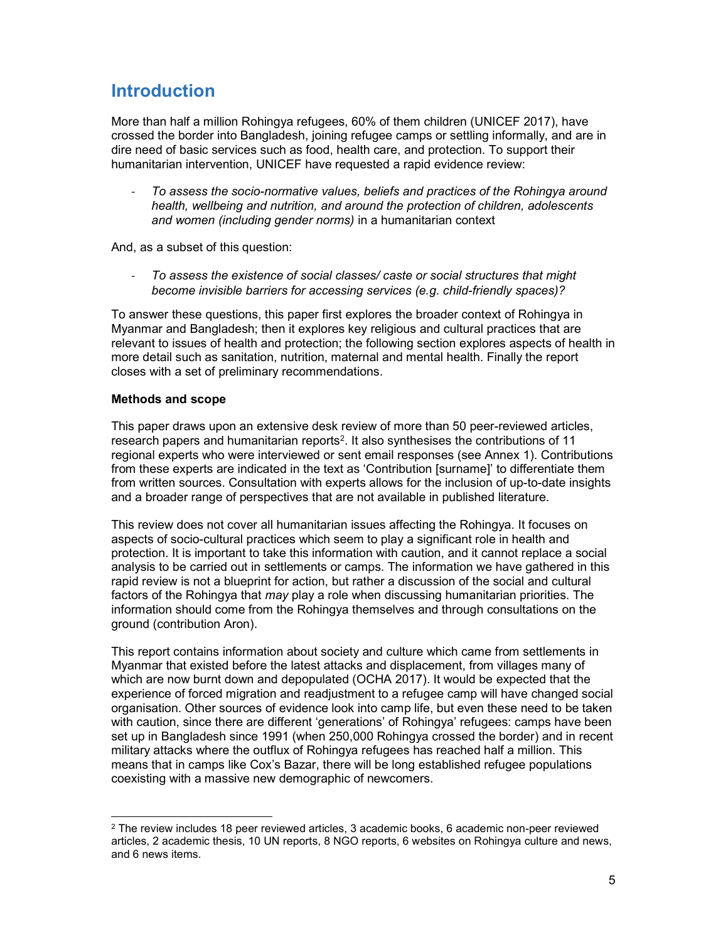### **Introduction**

More than half a million Rohingya refugees, 60% of them children (UNICEF 2017), have crossed the border into Bangladesh, joining refugee camps or settling informally, and are in dire need of basic services such as food, health care, and protection. To support their humanitarian intervention, UNICEF have requested a rapid evidence review:

- To assess the socio-normative values, beliefs and practices of the Rohingya around health, wellbeing and nutrition, and around the protection of children, adolescents and women (including gender norms) in a humanitarian context

And, as a subset of this question:

To assess the existence of social classes/ caste or social structures that might become invisible barriers for accessing services (e.g. child-friendly spaces)?

To answer these questions, this paper first explores the broader context of Rohingya in Myanmar and Bangladesh; then it explores key religious and cultural practices that are relevant to issues of health and protection; the following section explores aspects of health in more detail such as sanitation, nutrition, maternal and mental health. Finally the report closes with a set of preliminary recommendations.

#### Methods and scope

-

This paper draws upon an extensive desk review of more than 50 peer-reviewed articles, research papers and humanitarian reports<sup>2</sup>. It also synthesises the contributions of 11 regional experts who were interviewed or sent email responses (see Annex 1). Contributions from these experts are indicated in the text as 'Contribution [surname]' to differentiate them from written sources. Consultation with experts allows for the inclusion of up-to-date insights and a broader range of perspectives that are not available in published literature.

This review does not cover all humanitarian issues affecting the Rohingya. It focuses on aspects of socio-cultural practices which seem to play a significant role in health and protection. It is important to take this information with caution, and it cannot replace a social analysis to be carried out in settlements or camps. The information we have gathered in this rapid review is not a blueprint for action, but rather a discussion of the social and cultural factors of the Rohingya that may play a role when discussing humanitarian priorities. The information should come from the Rohingya themselves and through consultations on the ground (contribution Aron).

This report contains information about society and culture which came from settlements in Myanmar that existed before the latest attacks and displacement, from villages many of which are now burnt down and depopulated (OCHA 2017). It would be expected that the experience of forced migration and readjustment to a refugee camp will have changed social organisation. Other sources of evidence look into camp life, but even these need to be taken with caution, since there are different 'generations' of Rohingya' refugees: camps have been set up in Bangladesh since 1991 (when 250,000 Rohingya crossed the border) and in recent military attacks where the outflux of Rohingya refugees has reached half a million. This means that in camps like Cox's Bazar, there will be long established refugee populations coexisting with a massive new demographic of newcomers.

 $2$  The review includes 18 peer reviewed articles, 3 academic books, 6 academic non-peer reviewed articles, 2 academic thesis, 10 UN reports, 8 NGO reports, 6 websites on Rohingya culture and news, and 6 news items.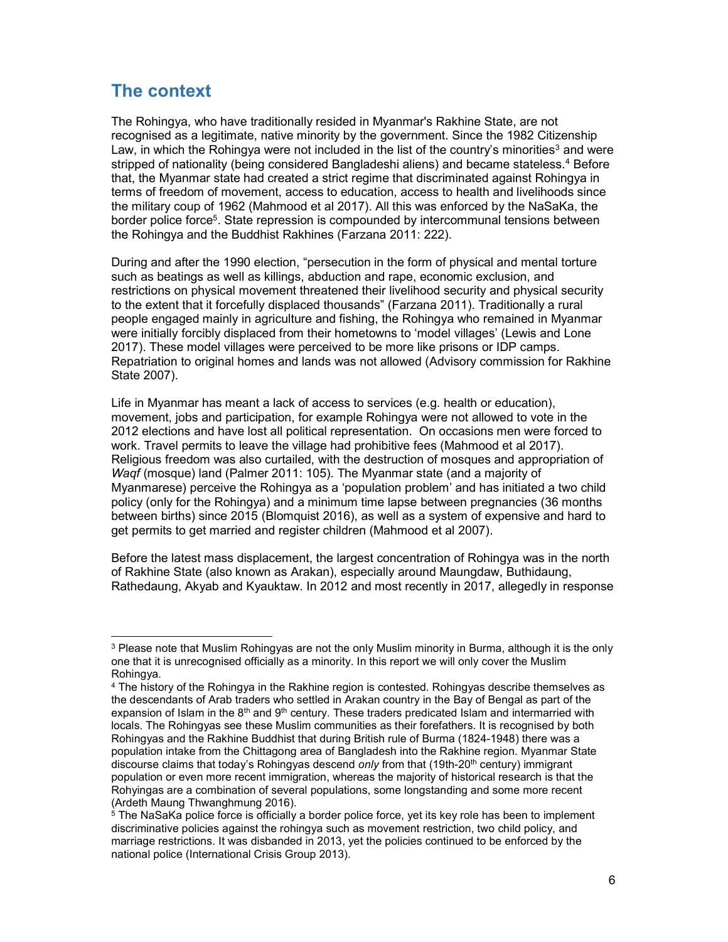### The context

-

The Rohingya, who have traditionally resided in Myanmar's Rakhine State, are not recognised as a legitimate, native minority by the government. Since the 1982 Citizenship Law, in which the Rohingya were not included in the list of the country's minorities<sup>3</sup> and were stripped of nationality (being considered Bangladeshi aliens) and became stateless.<sup>4</sup> Before that, the Myanmar state had created a strict regime that discriminated against Rohingya in terms of freedom of movement, access to education, access to health and livelihoods since the military coup of 1962 (Mahmood et al 2017). All this was enforced by the NaSaKa, the border police force<sup>5</sup>. State repression is compounded by intercommunal tensions between the Rohingya and the Buddhist Rakhines (Farzana 2011: 222).

During and after the 1990 election, "persecution in the form of physical and mental torture such as beatings as well as killings, abduction and rape, economic exclusion, and restrictions on physical movement threatened their livelihood security and physical security to the extent that it forcefully displaced thousands" (Farzana 2011). Traditionally a rural people engaged mainly in agriculture and fishing, the Rohingya who remained in Myanmar were initially forcibly displaced from their hometowns to 'model villages' (Lewis and Lone 2017). These model villages were perceived to be more like prisons or IDP camps. Repatriation to original homes and lands was not allowed (Advisory commission for Rakhine State 2007).

Life in Myanmar has meant a lack of access to services (e.g. health or education), movement, jobs and participation, for example Rohingya were not allowed to vote in the 2012 elections and have lost all political representation. On occasions men were forced to work. Travel permits to leave the village had prohibitive fees (Mahmood et al 2017). Religious freedom was also curtailed, with the destruction of mosques and appropriation of Waqf (mosque) land (Palmer 2011: 105). The Myanmar state (and a majority of Myanmarese) perceive the Rohingya as a 'population problem' and has initiated a two child policy (only for the Rohingya) and a minimum time lapse between pregnancies (36 months between births) since 2015 (Blomquist 2016), as well as a system of expensive and hard to get permits to get married and register children (Mahmood et al 2007).

Before the latest mass displacement, the largest concentration of Rohingya was in the north of Rakhine State (also known as Arakan), especially around Maungdaw, Buthidaung, Rathedaung, Akyab and Kyauktaw. In 2012 and most recently in 2017, allegedly in response

 $^3$  Please note that Muslim Rohingyas are not the only Muslim minority in Burma, although it is the only one that it is unrecognised officially as a minority. In this report we will only cover the Muslim Rohingya.

<sup>4</sup> The history of the Rohingya in the Rakhine region is contested. Rohingyas describe themselves as the descendants of Arab traders who settled in Arakan country in the Bay of Bengal as part of the expansion of Islam in the  $8<sup>th</sup>$  and  $9<sup>th</sup>$  century. These traders predicated Islam and intermarried with locals. The Rohingyas see these Muslim communities as their forefathers. It is recognised by both Rohingyas and the Rakhine Buddhist that during British rule of Burma (1824-1948) there was a population intake from the Chittagong area of Bangladesh into the Rakhine region. Myanmar State discourse claims that today's Rohingyas descend only from that (19th-20<sup>th</sup> century) immigrant population or even more recent immigration, whereas the majority of historical research is that the Rohyingas are a combination of several populations, some longstanding and some more recent (Ardeth Maung Thwanghmung 2016).

 $^5$  The NaSaKa police force is officially a border police force, yet its key role has been to implement discriminative policies against the rohingya such as movement restriction, two child policy, and marriage restrictions. It was disbanded in 2013, yet the policies continued to be enforced by the national police (International Crisis Group 2013).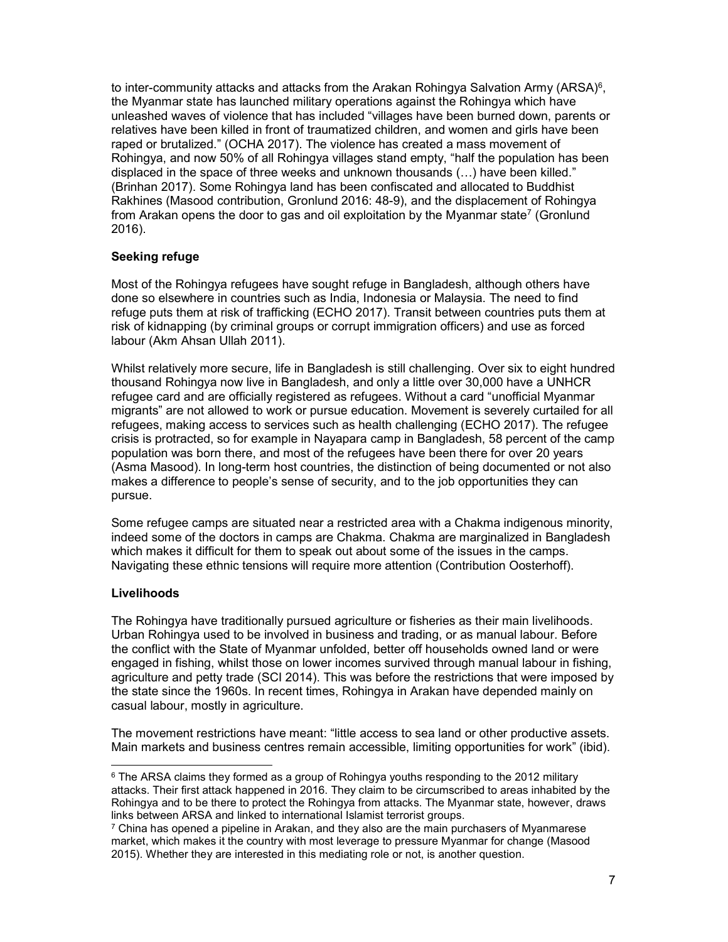to inter-community attacks and attacks from the Arakan Rohingya Salvation Army (ARSA) $^6$ , the Myanmar state has launched military operations against the Rohingya which have unleashed waves of violence that has included "villages have been burned down, parents or relatives have been killed in front of traumatized children, and women and girls have been raped or brutalized." (OCHA 2017). The violence has created a mass movement of Rohingya, and now 50% of all Rohingya villages stand empty, "half the population has been displaced in the space of three weeks and unknown thousands (…) have been killed." (Brinhan 2017). Some Rohingya land has been confiscated and allocated to Buddhist Rakhines (Masood contribution, Gronlund 2016: 48-9), and the displacement of Rohingya from Arakan opens the door to gas and oil exploitation by the Myanmar state<sup>7</sup> (Gronlund 2016).

#### Seeking refuge

Most of the Rohingya refugees have sought refuge in Bangladesh, although others have done so elsewhere in countries such as India, Indonesia or Malaysia. The need to find refuge puts them at risk of trafficking (ECHO 2017). Transit between countries puts them at risk of kidnapping (by criminal groups or corrupt immigration officers) and use as forced labour (Akm Ahsan Ullah 2011).

Whilst relatively more secure, life in Bangladesh is still challenging. Over six to eight hundred thousand Rohingya now live in Bangladesh, and only a little over 30,000 have a UNHCR refugee card and are officially registered as refugees. Without a card "unofficial Myanmar migrants" are not allowed to work or pursue education. Movement is severely curtailed for all refugees, making access to services such as health challenging (ECHO 2017). The refugee crisis is protracted, so for example in Nayapara camp in Bangladesh, 58 percent of the camp population was born there, and most of the refugees have been there for over 20 years (Asma Masood). In long-term host countries, the distinction of being documented or not also makes a difference to people's sense of security, and to the job opportunities they can pursue.

Some refugee camps are situated near a restricted area with a Chakma indigenous minority, indeed some of the doctors in camps are Chakma. Chakma are marginalized in Bangladesh which makes it difficult for them to speak out about some of the issues in the camps. Navigating these ethnic tensions will require more attention (Contribution Oosterhoff).

#### **Livelihoods**

The Rohingya have traditionally pursued agriculture or fisheries as their main livelihoods. Urban Rohingya used to be involved in business and trading, or as manual labour. Before the conflict with the State of Myanmar unfolded, better off households owned land or were engaged in fishing, whilst those on lower incomes survived through manual labour in fishing, agriculture and petty trade (SCI 2014). This was before the restrictions that were imposed by the state since the 1960s. In recent times, Rohingya in Arakan have depended mainly on casual labour, mostly in agriculture.

The movement restrictions have meant: "little access to sea land or other productive assets. Main markets and business centres remain accessible, limiting opportunities for work" (ibid).

<sup>-</sup> $^6$  The ARSA claims they formed as a group of Rohingya youths responding to the 2012 military attacks. Their first attack happened in 2016. They claim to be circumscribed to areas inhabited by the Rohingya and to be there to protect the Rohingya from attacks. The Myanmar state, however, draws links between ARSA and linked to international Islamist terrorist groups.

<sup>7</sup> China has opened a pipeline in Arakan, and they also are the main purchasers of Myanmarese market, which makes it the country with most leverage to pressure Myanmar for change (Masood 2015). Whether they are interested in this mediating role or not, is another question.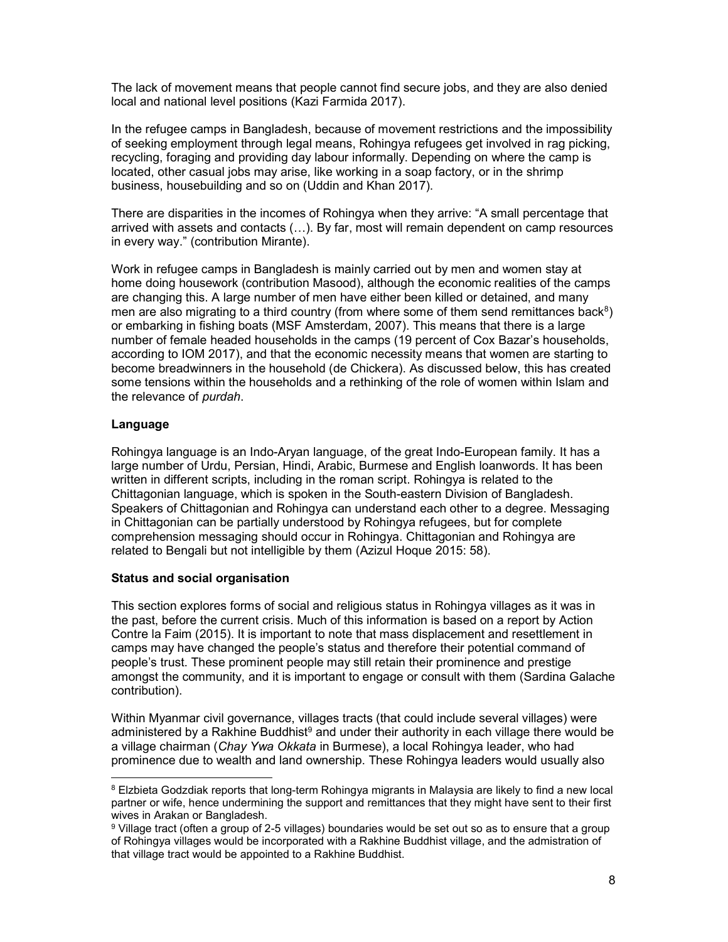The lack of movement means that people cannot find secure jobs, and they are also denied local and national level positions (Kazi Farmida 2017).

In the refugee camps in Bangladesh, because of movement restrictions and the impossibility of seeking employment through legal means, Rohingya refugees get involved in rag picking, recycling, foraging and providing day labour informally. Depending on where the camp is located, other casual jobs may arise, like working in a soap factory, or in the shrimp business, housebuilding and so on (Uddin and Khan 2017).

There are disparities in the incomes of Rohingya when they arrive: "A small percentage that arrived with assets and contacts (…). By far, most will remain dependent on camp resources in every way." (contribution Mirante).

Work in refugee camps in Bangladesh is mainly carried out by men and women stay at home doing housework (contribution Masood), although the economic realities of the camps are changing this. A large number of men have either been killed or detained, and many men are also migrating to a third country (from where some of them send remittances back<sup>8</sup>) or embarking in fishing boats (MSF Amsterdam, 2007). This means that there is a large number of female headed households in the camps (19 percent of Cox Bazar's households, according to IOM 2017), and that the economic necessity means that women are starting to become breadwinners in the household (de Chickera). As discussed below, this has created some tensions within the households and a rethinking of the role of women within Islam and the relevance of purdah.

#### Language

-

Rohingya language is an Indo-Aryan language, of the great Indo-European family. It has a large number of Urdu, Persian, Hindi, Arabic, Burmese and English loanwords. It has been written in different scripts, including in the roman script. Rohingya is related to the Chittagonian language, which is spoken in the South-eastern Division of Bangladesh. Speakers of Chittagonian and Rohingya can understand each other to a degree. Messaging in Chittagonian can be partially understood by Rohingya refugees, but for complete comprehension messaging should occur in Rohingya. Chittagonian and Rohingya are related to Bengali but not intelligible by them (Azizul Hoque 2015: 58).

#### Status and social organisation

This section explores forms of social and religious status in Rohingya villages as it was in the past, before the current crisis. Much of this information is based on a report by Action Contre la Faim (2015). It is important to note that mass displacement and resettlement in camps may have changed the people's status and therefore their potential command of people's trust. These prominent people may still retain their prominence and prestige amongst the community, and it is important to engage or consult with them (Sardina Galache contribution).

Within Myanmar civil governance, villages tracts (that could include several villages) were administered by a Rakhine Buddhist<sup>9</sup> and under their authority in each village there would be a village chairman (Chay Ywa Okkata in Burmese), a local Rohingya leader, who had prominence due to wealth and land ownership. These Rohingya leaders would usually also

 $^8$  Elzbieta Godzdiak reports that long-term Rohingya migrants in Malaysia are likely to find a new local  $\,$ partner or wife, hence undermining the support and remittances that they might have sent to their first wives in Arakan or Bangladesh.

 $9$  Village tract (often a group of 2-5 villages) boundaries would be set out so as to ensure that a group of Rohingya villages would be incorporated with a Rakhine Buddhist village, and the admistration of that village tract would be appointed to a Rakhine Buddhist.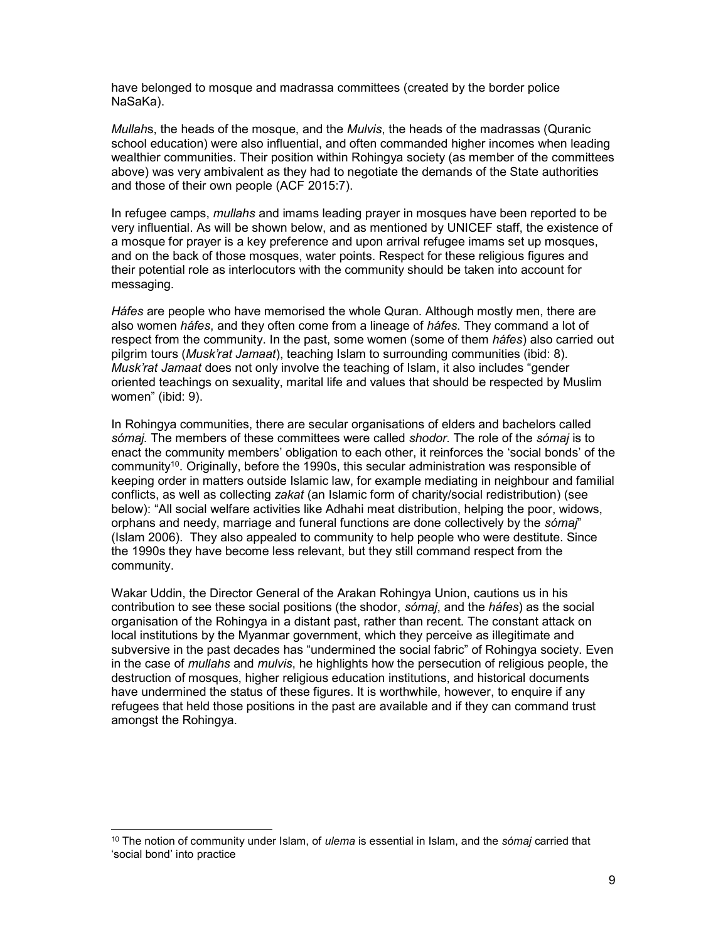have belonged to mosque and madrassa committees (created by the border police NaSaKa).

Mullahs, the heads of the mosque, and the Mulvis, the heads of the madrassas (Quranic school education) were also influential, and often commanded higher incomes when leading wealthier communities. Their position within Rohingya society (as member of the committees above) was very ambivalent as they had to negotiate the demands of the State authorities and those of their own people (ACF 2015:7).

In refugee camps, *mullahs* and imams leading prayer in mosques have been reported to be very influential. As will be shown below, and as mentioned by UNICEF staff, the existence of a mosque for prayer is a key preference and upon arrival refugee imams set up mosques, and on the back of those mosques, water points. Respect for these religious figures and their potential role as interlocutors with the community should be taken into account for messaging.

Háfes are people who have memorised the whole Quran. Although mostly men, there are also women háfes, and they often come from a lineage of háfes. They command a lot of respect from the community. In the past, some women (some of them háfes) also carried out pilgrim tours (Musk'rat Jamaat), teaching Islam to surrounding communities (ibid: 8). Musk'rat Jamaat does not only involve the teaching of Islam, it also includes "gender oriented teachings on sexuality, marital life and values that should be respected by Muslim women" (ibid: 9).

In Rohingya communities, there are secular organisations of elders and bachelors called sómaj. The members of these committees were called shodor. The role of the sómaj is to enact the community members' obligation to each other, it reinforces the 'social bonds' of the community<sup>10</sup>. Originally, before the 1990s, this secular administration was responsible of keeping order in matters outside Islamic law, for example mediating in neighbour and familial conflicts, as well as collecting zakat (an Islamic form of charity/social redistribution) (see below): "All social welfare activities like Adhahi meat distribution, helping the poor, widows, orphans and needy, marriage and funeral functions are done collectively by the sómaj" (Islam 2006). They also appealed to community to help people who were destitute. Since the 1990s they have become less relevant, but they still command respect from the community.

Wakar Uddin, the Director General of the Arakan Rohingya Union, cautions us in his contribution to see these social positions (the shodor, sómaj, and the háfes) as the social organisation of the Rohingya in a distant past, rather than recent. The constant attack on local institutions by the Myanmar government, which they perceive as illegitimate and subversive in the past decades has "undermined the social fabric" of Rohingya society. Even in the case of mullahs and mulvis, he highlights how the persecution of religious people, the destruction of mosques, higher religious education institutions, and historical documents have undermined the status of these figures. It is worthwhile, however, to enquire if any refugees that held those positions in the past are available and if they can command trust amongst the Rohingya.

-

 $10$  The notion of community under Islam, of *ulema* is essential in Islam, and the *sómaj* carried that 'social bond' into practice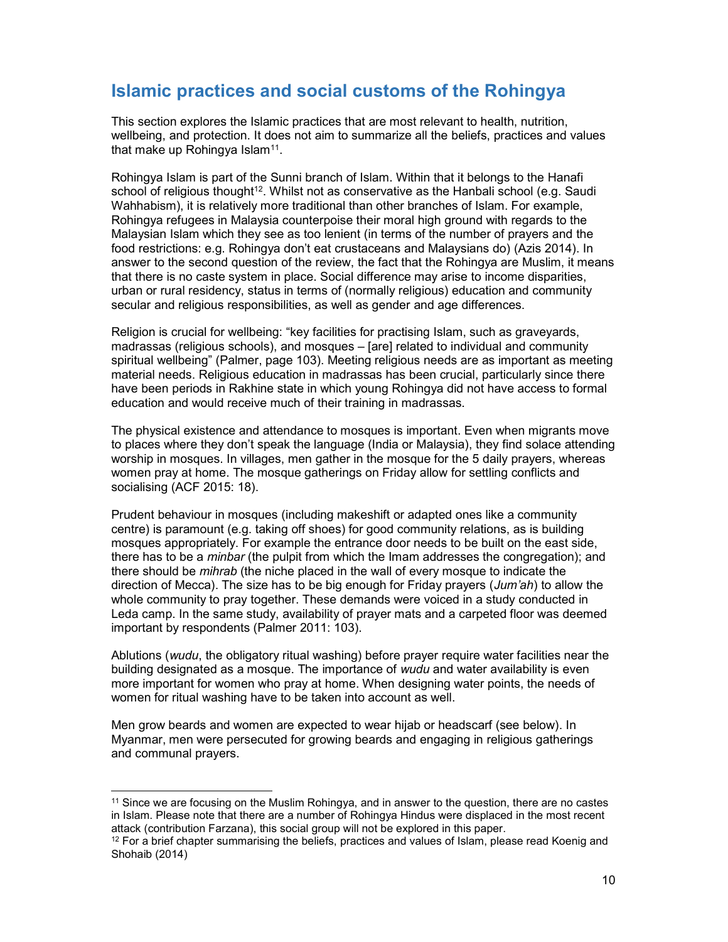### Islamic practices and social customs of the Rohingya

This section explores the Islamic practices that are most relevant to health, nutrition, wellbeing, and protection. It does not aim to summarize all the beliefs, practices and values that make up Rohingya Islam $11$ .

Rohingya Islam is part of the Sunni branch of Islam. Within that it belongs to the Hanafi school of religious thought<sup>12</sup>. Whilst not as conservative as the Hanbali school (e.g. Saudi Wahhabism), it is relatively more traditional than other branches of Islam. For example, Rohingya refugees in Malaysia counterpoise their moral high ground with regards to the Malaysian Islam which they see as too lenient (in terms of the number of prayers and the food restrictions: e.g. Rohingya don't eat crustaceans and Malaysians do) (Azis 2014). In answer to the second question of the review, the fact that the Rohingya are Muslim, it means that there is no caste system in place. Social difference may arise to income disparities, urban or rural residency, status in terms of (normally religious) education and community secular and religious responsibilities, as well as gender and age differences.

Religion is crucial for wellbeing: "key facilities for practising Islam, such as graveyards, madrassas (religious schools), and mosques – [are] related to individual and community spiritual wellbeing" (Palmer, page 103). Meeting religious needs are as important as meeting material needs. Religious education in madrassas has been crucial, particularly since there have been periods in Rakhine state in which young Rohingya did not have access to formal education and would receive much of their training in madrassas.

The physical existence and attendance to mosques is important. Even when migrants move to places where they don't speak the language (India or Malaysia), they find solace attending worship in mosques. In villages, men gather in the mosque for the 5 daily prayers, whereas women pray at home. The mosque gatherings on Friday allow for settling conflicts and socialising (ACF 2015: 18).

Prudent behaviour in mosques (including makeshift or adapted ones like a community centre) is paramount (e.g. taking off shoes) for good community relations, as is building mosques appropriately. For example the entrance door needs to be built on the east side, there has to be a *minbar* (the pulpit from which the Imam addresses the congregation); and there should be *mihrab* (the niche placed in the wall of every mosque to indicate the direction of Mecca). The size has to be big enough for Friday prayers (Jum'ah) to allow the whole community to pray together. These demands were voiced in a study conducted in Leda camp. In the same study, availability of prayer mats and a carpeted floor was deemed important by respondents (Palmer 2011: 103).

Ablutions (wudu, the obligatory ritual washing) before prayer require water facilities near the building designated as a mosque. The importance of *wudu* and water availability is even more important for women who pray at home. When designing water points, the needs of women for ritual washing have to be taken into account as well.

Men grow beards and women are expected to wear hijab or headscarf (see below). In Myanmar, men were persecuted for growing beards and engaging in religious gatherings and communal prayers.

-

<sup>&</sup>lt;sup>11</sup> Since we are focusing on the Muslim Rohingya, and in answer to the question, there are no castes in Islam. Please note that there are a number of Rohingya Hindus were displaced in the most recent attack (contribution Farzana), this social group will not be explored in this paper.

 $12$  For a brief chapter summarising the beliefs, practices and values of Islam, please read Koenig and Shohaib (2014)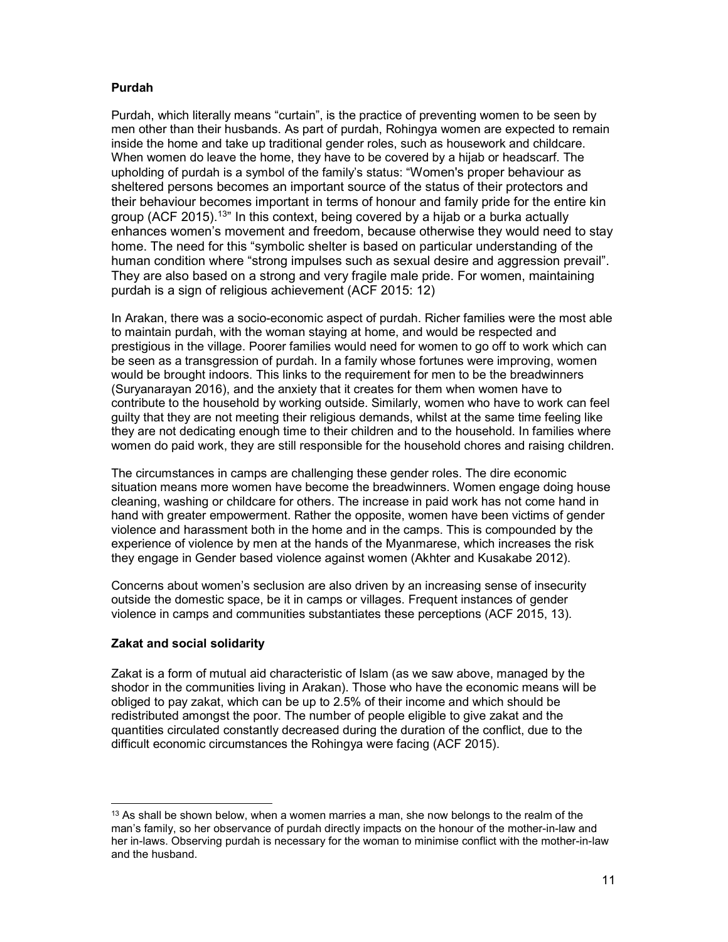#### Purdah

Purdah, which literally means "curtain", is the practice of preventing women to be seen by men other than their husbands. As part of purdah, Rohingya women are expected to remain inside the home and take up traditional gender roles, such as housework and childcare. When women do leave the home, they have to be covered by a hijab or headscarf. The upholding of purdah is a symbol of the family's status: "Women's proper behaviour as sheltered persons becomes an important source of the status of their protectors and their behaviour becomes important in terms of honour and family pride for the entire kin group (ACF 2015).<sup>13</sup>" In this context, being covered by a hijab or a burka actually enhances women's movement and freedom, because otherwise they would need to stay home. The need for this "symbolic shelter is based on particular understanding of the human condition where "strong impulses such as sexual desire and aggression prevail". They are also based on a strong and very fragile male pride. For women, maintaining purdah is a sign of religious achievement (ACF 2015: 12)

In Arakan, there was a socio-economic aspect of purdah. Richer families were the most able to maintain purdah, with the woman staying at home, and would be respected and prestigious in the village. Poorer families would need for women to go off to work which can be seen as a transgression of purdah. In a family whose fortunes were improving, women would be brought indoors. This links to the requirement for men to be the breadwinners (Suryanarayan 2016), and the anxiety that it creates for them when women have to contribute to the household by working outside. Similarly, women who have to work can feel guilty that they are not meeting their religious demands, whilst at the same time feeling like they are not dedicating enough time to their children and to the household. In families where women do paid work, they are still responsible for the household chores and raising children.

The circumstances in camps are challenging these gender roles. The dire economic situation means more women have become the breadwinners. Women engage doing house cleaning, washing or childcare for others. The increase in paid work has not come hand in hand with greater empowerment. Rather the opposite, women have been victims of gender violence and harassment both in the home and in the camps. This is compounded by the experience of violence by men at the hands of the Myanmarese, which increases the risk they engage in Gender based violence against women (Akhter and Kusakabe 2012).

Concerns about women's seclusion are also driven by an increasing sense of insecurity outside the domestic space, be it in camps or villages. Frequent instances of gender violence in camps and communities substantiates these perceptions (ACF 2015, 13).

#### Zakat and social solidarity

-

Zakat is a form of mutual aid characteristic of Islam (as we saw above, managed by the shodor in the communities living in Arakan). Those who have the economic means will be obliged to pay zakat, which can be up to 2.5% of their income and which should be redistributed amongst the poor. The number of people eligible to give zakat and the quantities circulated constantly decreased during the duration of the conflict, due to the difficult economic circumstances the Rohingya were facing (ACF 2015).

 $13$  As shall be shown below, when a women marries a man, she now belongs to the realm of the man's family, so her observance of purdah directly impacts on the honour of the mother-in-law and her in-laws. Observing purdah is necessary for the woman to minimise conflict with the mother-in-law and the husband.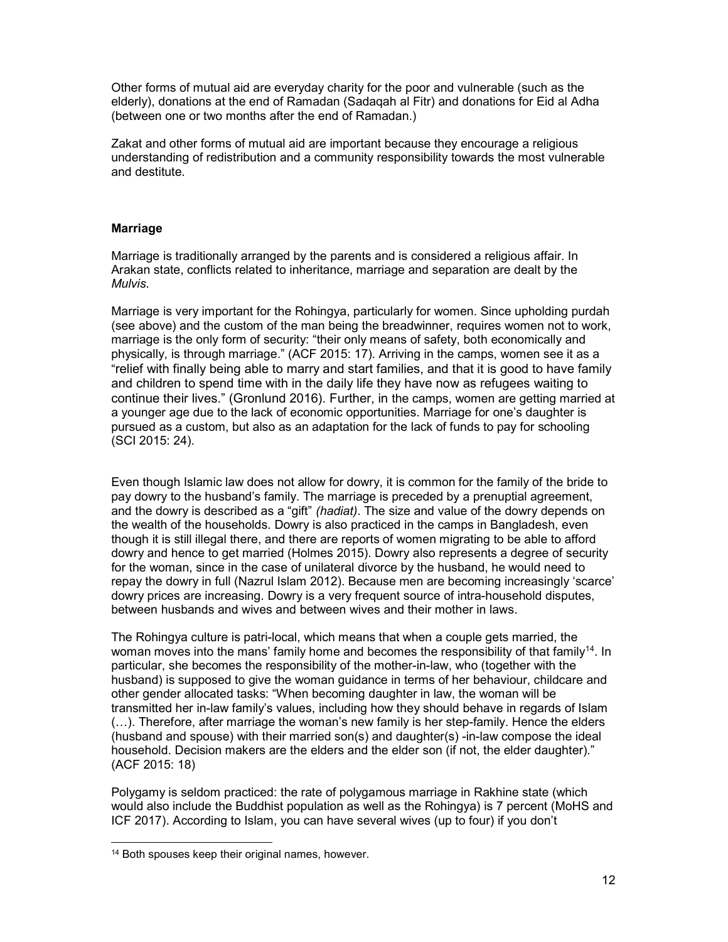Other forms of mutual aid are everyday charity for the poor and vulnerable (such as the elderly), donations at the end of Ramadan (Sadaqah al Fitr) and donations for Eid al Adha (between one or two months after the end of Ramadan.)

Zakat and other forms of mutual aid are important because they encourage a religious understanding of redistribution and a community responsibility towards the most vulnerable and destitute.

#### Marriage

Marriage is traditionally arranged by the parents and is considered a religious affair. In Arakan state, conflicts related to inheritance, marriage and separation are dealt by the Mulvis.

Marriage is very important for the Rohingya, particularly for women. Since upholding purdah (see above) and the custom of the man being the breadwinner, requires women not to work, marriage is the only form of security: "their only means of safety, both economically and physically, is through marriage." (ACF 2015: 17). Arriving in the camps, women see it as a "relief with finally being able to marry and start families, and that it is good to have family and children to spend time with in the daily life they have now as refugees waiting to continue their lives." (Gronlund 2016). Further, in the camps, women are getting married at a younger age due to the lack of economic opportunities. Marriage for one's daughter is pursued as a custom, but also as an adaptation for the lack of funds to pay for schooling (SCI 2015: 24).

Even though Islamic law does not allow for dowry, it is common for the family of the bride to pay dowry to the husband's family. The marriage is preceded by a prenuptial agreement, and the dowry is described as a "gift" (hadiat). The size and value of the dowry depends on the wealth of the households. Dowry is also practiced in the camps in Bangladesh, even though it is still illegal there, and there are reports of women migrating to be able to afford dowry and hence to get married (Holmes 2015). Dowry also represents a degree of security for the woman, since in the case of unilateral divorce by the husband, he would need to repay the dowry in full (Nazrul Islam 2012). Because men are becoming increasingly 'scarce' dowry prices are increasing. Dowry is a very frequent source of intra-household disputes, between husbands and wives and between wives and their mother in laws.

The Rohingya culture is patri-local, which means that when a couple gets married, the woman moves into the mans' family home and becomes the responsibility of that family<sup>14</sup>. In particular, she becomes the responsibility of the mother-in-law, who (together with the husband) is supposed to give the woman guidance in terms of her behaviour, childcare and other gender allocated tasks: "When becoming daughter in law, the woman will be transmitted her in-law family's values, including how they should behave in regards of Islam (…). Therefore, after marriage the woman's new family is her step-family. Hence the elders (husband and spouse) with their married son(s) and daughter(s) -in-law compose the ideal household. Decision makers are the elders and the elder son (if not, the elder daughter)." (ACF 2015: 18)

Polygamy is seldom practiced: the rate of polygamous marriage in Rakhine state (which would also include the Buddhist population as well as the Rohingya) is 7 percent (MoHS and ICF 2017). According to Islam, you can have several wives (up to four) if you don't

-

<sup>&</sup>lt;sup>14</sup> Both spouses keep their original names, however.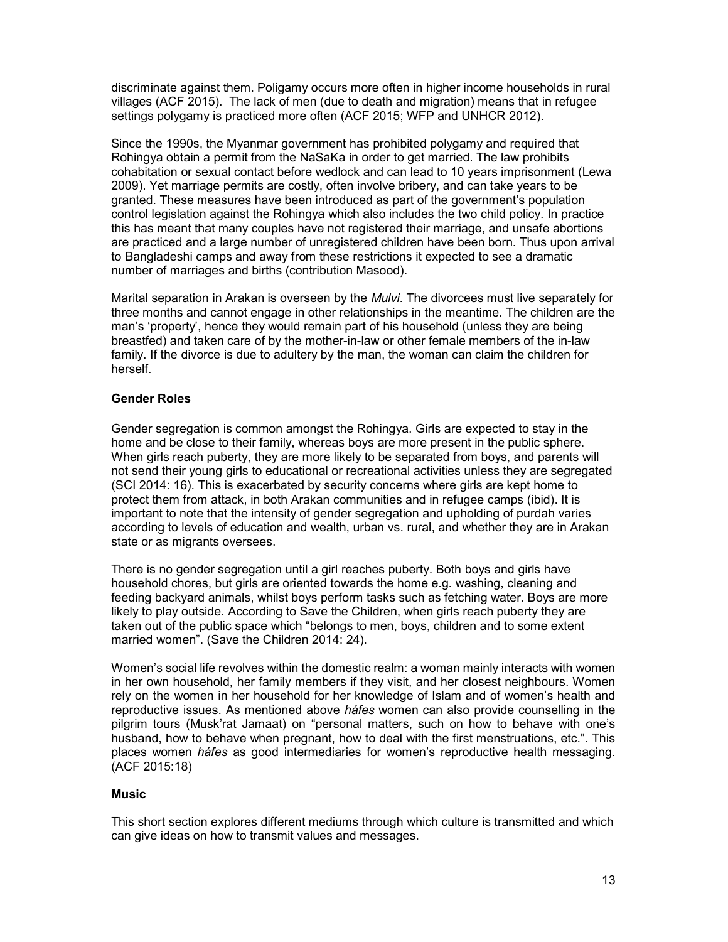discriminate against them. Poligamy occurs more often in higher income households in rural villages (ACF 2015). The lack of men (due to death and migration) means that in refugee settings polygamy is practiced more often (ACF 2015; WFP and UNHCR 2012).

Since the 1990s, the Myanmar government has prohibited polygamy and required that Rohingya obtain a permit from the NaSaKa in order to get married. The law prohibits cohabitation or sexual contact before wedlock and can lead to 10 years imprisonment (Lewa 2009). Yet marriage permits are costly, often involve bribery, and can take years to be granted. These measures have been introduced as part of the government's population control legislation against the Rohingya which also includes the two child policy. In practice this has meant that many couples have not registered their marriage, and unsafe abortions are practiced and a large number of unregistered children have been born. Thus upon arrival to Bangladeshi camps and away from these restrictions it expected to see a dramatic number of marriages and births (contribution Masood).

Marital separation in Arakan is overseen by the *Mulvi*. The divorcees must live separately for three months and cannot engage in other relationships in the meantime. The children are the man's 'property', hence they would remain part of his household (unless they are being breastfed) and taken care of by the mother-in-law or other female members of the in-law family. If the divorce is due to adultery by the man, the woman can claim the children for herself.

#### Gender Roles

Gender segregation is common amongst the Rohingya. Girls are expected to stay in the home and be close to their family, whereas boys are more present in the public sphere. When girls reach puberty, they are more likely to be separated from boys, and parents will not send their young girls to educational or recreational activities unless they are segregated (SCI 2014: 16). This is exacerbated by security concerns where girls are kept home to protect them from attack, in both Arakan communities and in refugee camps (ibid). It is important to note that the intensity of gender segregation and upholding of purdah varies according to levels of education and wealth, urban vs. rural, and whether they are in Arakan state or as migrants oversees.

There is no gender segregation until a girl reaches puberty. Both boys and girls have household chores, but girls are oriented towards the home e.g. washing, cleaning and feeding backyard animals, whilst boys perform tasks such as fetching water. Boys are more likely to play outside. According to Save the Children, when girls reach puberty they are taken out of the public space which "belongs to men, boys, children and to some extent married women". (Save the Children 2014: 24).

Women's social life revolves within the domestic realm: a woman mainly interacts with women in her own household, her family members if they visit, and her closest neighbours. Women rely on the women in her household for her knowledge of Islam and of women's health and reproductive issues. As mentioned above *háfes* women can also provide counselling in the pilgrim tours (Musk'rat Jamaat) on "personal matters, such on how to behave with one's husband, how to behave when pregnant, how to deal with the first menstruations, etc.". This places women háfes as good intermediaries for women's reproductive health messaging. (ACF 2015:18)

#### **Music**

This short section explores different mediums through which culture is transmitted and which can give ideas on how to transmit values and messages.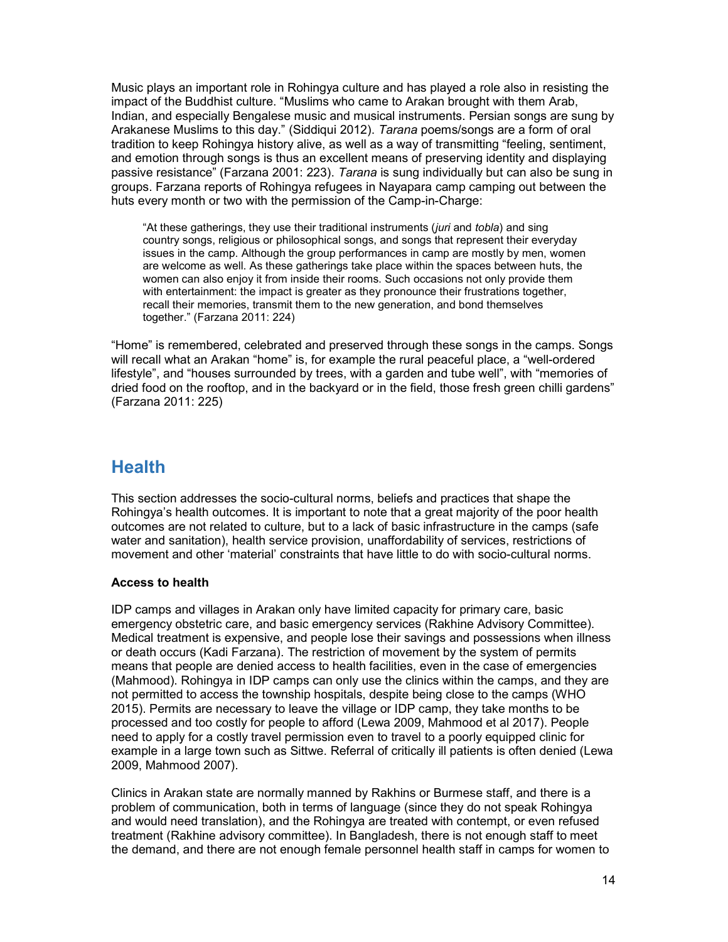Music plays an important role in Rohingya culture and has played a role also in resisting the impact of the Buddhist culture. "Muslims who came to Arakan brought with them Arab, Indian, and especially Bengalese music and musical instruments. Persian songs are sung by Arakanese Muslims to this day." (Siddiqui 2012). Tarana poems/songs are a form of oral tradition to keep Rohingya history alive, as well as a way of transmitting "feeling, sentiment, and emotion through songs is thus an excellent means of preserving identity and displaying passive resistance" (Farzana 2001: 223). Tarana is sung individually but can also be sung in groups. Farzana reports of Rohingya refugees in Nayapara camp camping out between the huts every month or two with the permission of the Camp-in-Charge:

"At these gatherings, they use their traditional instruments (juri and tobla) and sing country songs, religious or philosophical songs, and songs that represent their everyday issues in the camp. Although the group performances in camp are mostly by men, women are welcome as well. As these gatherings take place within the spaces between huts, the women can also enjoy it from inside their rooms. Such occasions not only provide them with entertainment: the impact is greater as they pronounce their frustrations together, recall their memories, transmit them to the new generation, and bond themselves together." (Farzana 2011: 224)

"Home" is remembered, celebrated and preserved through these songs in the camps. Songs will recall what an Arakan "home" is, for example the rural peaceful place, a "well-ordered lifestyle", and "houses surrounded by trees, with a garden and tube well", with "memories of dried food on the rooftop, and in the backyard or in the field, those fresh green chilli gardens" (Farzana 2011: 225)

### **Health**

This section addresses the socio-cultural norms, beliefs and practices that shape the Rohingya's health outcomes. It is important to note that a great majority of the poor health outcomes are not related to culture, but to a lack of basic infrastructure in the camps (safe water and sanitation), health service provision, unaffordability of services, restrictions of movement and other 'material' constraints that have little to do with socio-cultural norms.

#### Access to health

IDP camps and villages in Arakan only have limited capacity for primary care, basic emergency obstetric care, and basic emergency services (Rakhine Advisory Committee). Medical treatment is expensive, and people lose their savings and possessions when illness or death occurs (Kadi Farzana). The restriction of movement by the system of permits means that people are denied access to health facilities, even in the case of emergencies (Mahmood). Rohingya in IDP camps can only use the clinics within the camps, and they are not permitted to access the township hospitals, despite being close to the camps (WHO 2015). Permits are necessary to leave the village or IDP camp, they take months to be processed and too costly for people to afford (Lewa 2009, Mahmood et al 2017). People need to apply for a costly travel permission even to travel to a poorly equipped clinic for example in a large town such as Sittwe. Referral of critically ill patients is often denied (Lewa 2009, Mahmood 2007).

Clinics in Arakan state are normally manned by Rakhins or Burmese staff, and there is a problem of communication, both in terms of language (since they do not speak Rohingya and would need translation), and the Rohingya are treated with contempt, or even refused treatment (Rakhine advisory committee). In Bangladesh, there is not enough staff to meet the demand, and there are not enough female personnel health staff in camps for women to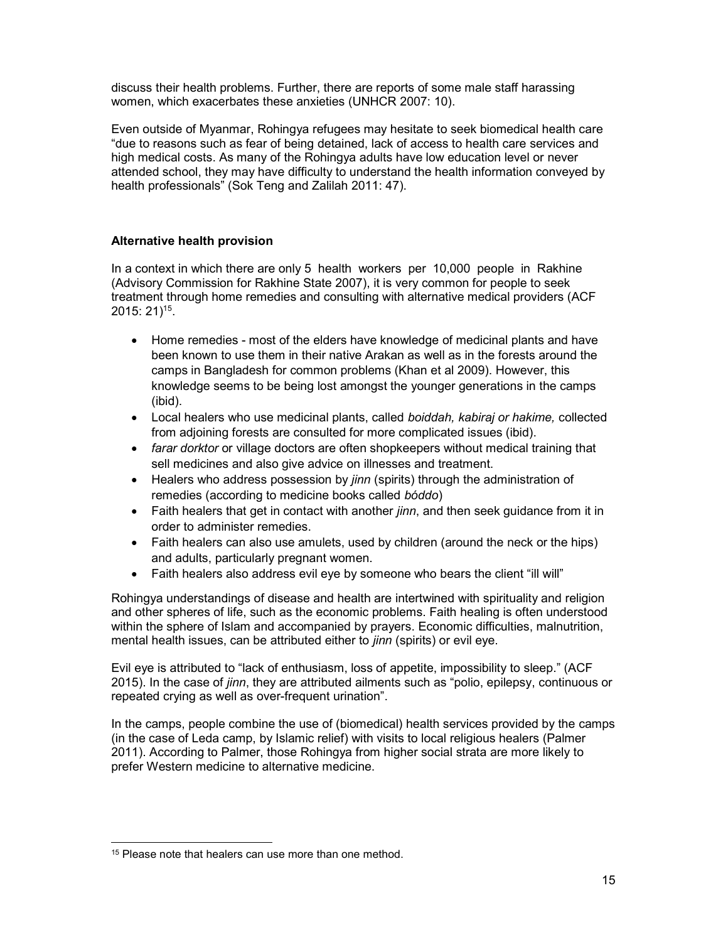discuss their health problems. Further, there are reports of some male staff harassing women, which exacerbates these anxieties (UNHCR 2007: 10).

Even outside of Myanmar, Rohingya refugees may hesitate to seek biomedical health care "due to reasons such as fear of being detained, lack of access to health care services and high medical costs. As many of the Rohingya adults have low education level or never attended school, they may have difficulty to understand the health information conveyed by health professionals" (Sok Teng and Zalilah 2011: 47).

#### Alternative health provision

In a context in which there are only 5 health workers per 10,000 people in Rakhine (Advisory Commission for Rakhine State 2007), it is very common for people to seek treatment through home remedies and consulting with alternative medical providers (ACF 2015: 21)<sup>15</sup> .

- Home remedies most of the elders have knowledge of medicinal plants and have been known to use them in their native Arakan as well as in the forests around the camps in Bangladesh for common problems (Khan et al 2009). However, this knowledge seems to be being lost amongst the younger generations in the camps (ibid).
- Local healers who use medicinal plants, called boiddah, kabiraj or hakime, collected from adjoining forests are consulted for more complicated issues (ibid).
- farar dorktor or village doctors are often shopkeepers without medical training that sell medicines and also give advice on illnesses and treatment.
- Healers who address possession by *jinn* (spirits) through the administration of remedies (according to medicine books called bóddo)
- Faith healers that get in contact with another *jinn*, and then seek guidance from it in order to administer remedies.
- Faith healers can also use amulets, used by children (around the neck or the hips) and adults, particularly pregnant women.
- Faith healers also address evil eye by someone who bears the client "ill will"

Rohingya understandings of disease and health are intertwined with spirituality and religion and other spheres of life, such as the economic problems. Faith healing is often understood within the sphere of Islam and accompanied by prayers. Economic difficulties, malnutrition, mental health issues, can be attributed either to *jinn* (spirits) or evil eye.

Evil eye is attributed to "lack of enthusiasm, loss of appetite, impossibility to sleep." (ACF 2015). In the case of *jinn*, they are attributed ailments such as "polio, epilepsy, continuous or repeated crying as well as over-frequent urination".

In the camps, people combine the use of (biomedical) health services provided by the camps (in the case of Leda camp, by Islamic relief) with visits to local religious healers (Palmer 2011). According to Palmer, those Rohingya from higher social strata are more likely to prefer Western medicine to alternative medicine.

<sup>-</sup><sup>15</sup> Please note that healers can use more than one method.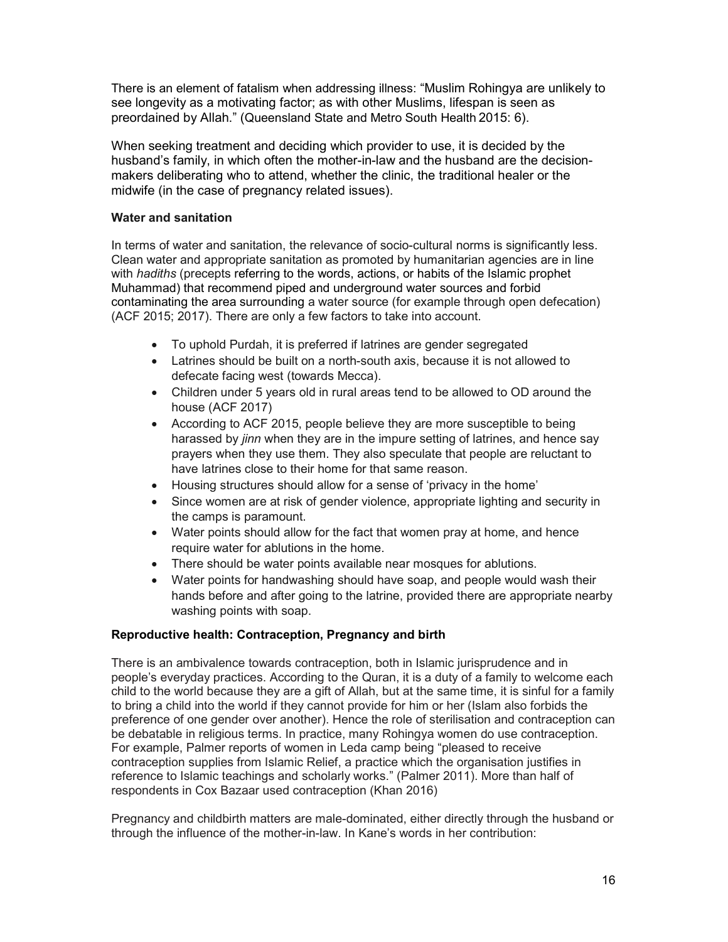There is an element of fatalism when addressing illness: "Muslim Rohingya are unlikely to see longevity as a motivating factor; as with other Muslims, lifespan is seen as preordained by Allah." (Queensland State and Metro South Health 2015: 6).

When seeking treatment and deciding which provider to use, it is decided by the husband's family, in which often the mother-in-law and the husband are the decisionmakers deliberating who to attend, whether the clinic, the traditional healer or the midwife (in the case of pregnancy related issues).

#### Water and sanitation

In terms of water and sanitation, the relevance of socio-cultural norms is significantly less. Clean water and appropriate sanitation as promoted by humanitarian agencies are in line with hadiths (precepts referring to the words, actions, or habits of the Islamic prophet Muhammad) that recommend piped and underground water sources and forbid contaminating the area surrounding a water source (for example through open defecation) (ACF 2015; 2017). There are only a few factors to take into account.

- To uphold Purdah, it is preferred if latrines are gender segregated
- Latrines should be built on a north-south axis, because it is not allowed to defecate facing west (towards Mecca).
- Children under 5 years old in rural areas tend to be allowed to OD around the house (ACF 2017)
- According to ACF 2015, people believe they are more susceptible to being harassed by *jinn* when they are in the impure setting of latrines, and hence say prayers when they use them. They also speculate that people are reluctant to have latrines close to their home for that same reason.
- Housing structures should allow for a sense of 'privacy in the home'
- Since women are at risk of gender violence, appropriate lighting and security in the camps is paramount.
- Water points should allow for the fact that women pray at home, and hence require water for ablutions in the home.
- There should be water points available near mosques for ablutions.
- Water points for handwashing should have soap, and people would wash their hands before and after going to the latrine, provided there are appropriate nearby washing points with soap.

#### Reproductive health: Contraception, Pregnancy and birth

There is an ambivalence towards contraception, both in Islamic jurisprudence and in people's everyday practices. According to the Quran, it is a duty of a family to welcome each child to the world because they are a gift of Allah, but at the same time, it is sinful for a family to bring a child into the world if they cannot provide for him or her (Islam also forbids the preference of one gender over another). Hence the role of sterilisation and contraception can be debatable in religious terms. In practice, many Rohingya women do use contraception. For example, Palmer reports of women in Leda camp being "pleased to receive contraception supplies from Islamic Relief, a practice which the organisation justifies in reference to Islamic teachings and scholarly works." (Palmer 2011). More than half of respondents in Cox Bazaar used contraception (Khan 2016)

Pregnancy and childbirth matters are male-dominated, either directly through the husband or through the influence of the mother-in-law. In Kane's words in her contribution: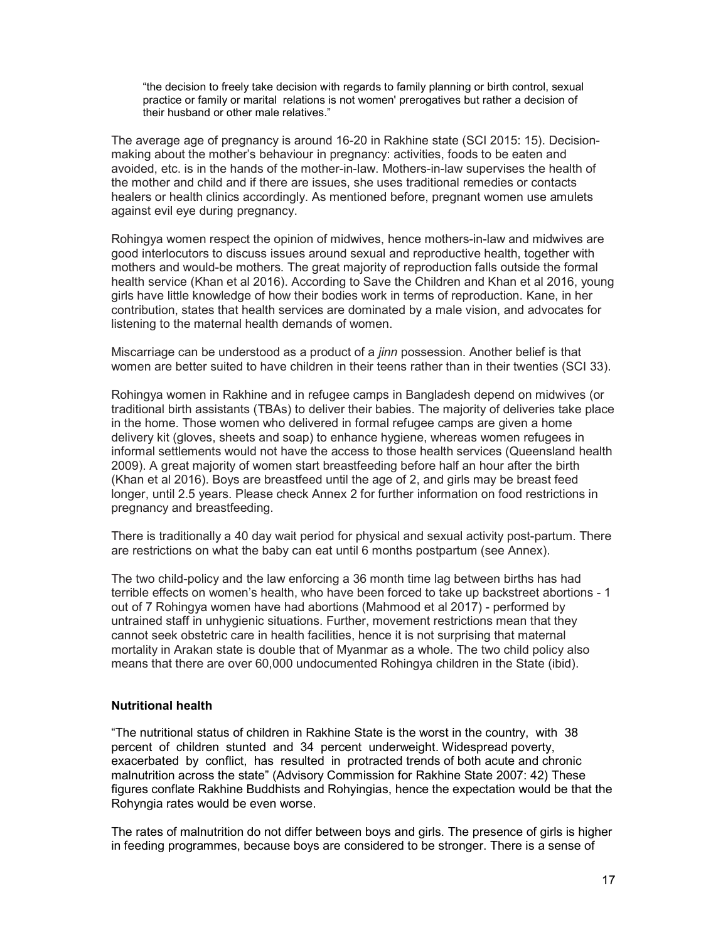"the decision to freely take decision with regards to family planning or birth control, sexual practice or family or marital relations is not women' prerogatives but rather a decision of their husband or other male relatives."

The average age of pregnancy is around 16-20 in Rakhine state (SCI 2015: 15). Decisionmaking about the mother's behaviour in pregnancy: activities, foods to be eaten and avoided, etc. is in the hands of the mother-in-law. Mothers-in-law supervises the health of the mother and child and if there are issues, she uses traditional remedies or contacts healers or health clinics accordingly. As mentioned before, pregnant women use amulets against evil eye during pregnancy.

Rohingya women respect the opinion of midwives, hence mothers-in-law and midwives are good interlocutors to discuss issues around sexual and reproductive health, together with mothers and would-be mothers. The great majority of reproduction falls outside the formal health service (Khan et al 2016). According to Save the Children and Khan et al 2016, young girls have little knowledge of how their bodies work in terms of reproduction. Kane, in her contribution, states that health services are dominated by a male vision, and advocates for listening to the maternal health demands of women.

Miscarriage can be understood as a product of a *jinn* possession. Another belief is that women are better suited to have children in their teens rather than in their twenties (SCI 33).

Rohingya women in Rakhine and in refugee camps in Bangladesh depend on midwives (or traditional birth assistants (TBAs) to deliver their babies. The majority of deliveries take place in the home. Those women who delivered in formal refugee camps are given a home delivery kit (gloves, sheets and soap) to enhance hygiene, whereas women refugees in informal settlements would not have the access to those health services (Queensland health 2009). A great majority of women start breastfeeding before half an hour after the birth (Khan et al 2016). Boys are breastfeed until the age of 2, and girls may be breast feed longer, until 2.5 years. Please check Annex 2 for further information on food restrictions in pregnancy and breastfeeding.

There is traditionally a 40 day wait period for physical and sexual activity post-partum. There are restrictions on what the baby can eat until 6 months postpartum (see Annex).

The two child-policy and the law enforcing a 36 month time lag between births has had terrible effects on women's health, who have been forced to take up backstreet abortions - 1 out of 7 Rohingya women have had abortions (Mahmood et al 2017) - performed by untrained staff in unhygienic situations. Further, movement restrictions mean that they cannot seek obstetric care in health facilities, hence it is not surprising that maternal mortality in Arakan state is double that of Myanmar as a whole. The two child policy also means that there are over 60,000 undocumented Rohingya children in the State (ibid).

#### Nutritional health

"The nutritional status of children in Rakhine State is the worst in the country, with 38 percent of children stunted and 34 percent underweight. Widespread poverty, exacerbated by conflict, has resulted in protracted trends of both acute and chronic malnutrition across the state" (Advisory Commission for Rakhine State 2007: 42) These figures conflate Rakhine Buddhists and Rohyingias, hence the expectation would be that the Rohyngia rates would be even worse.

The rates of malnutrition do not differ between boys and girls. The presence of girls is higher in feeding programmes, because boys are considered to be stronger. There is a sense of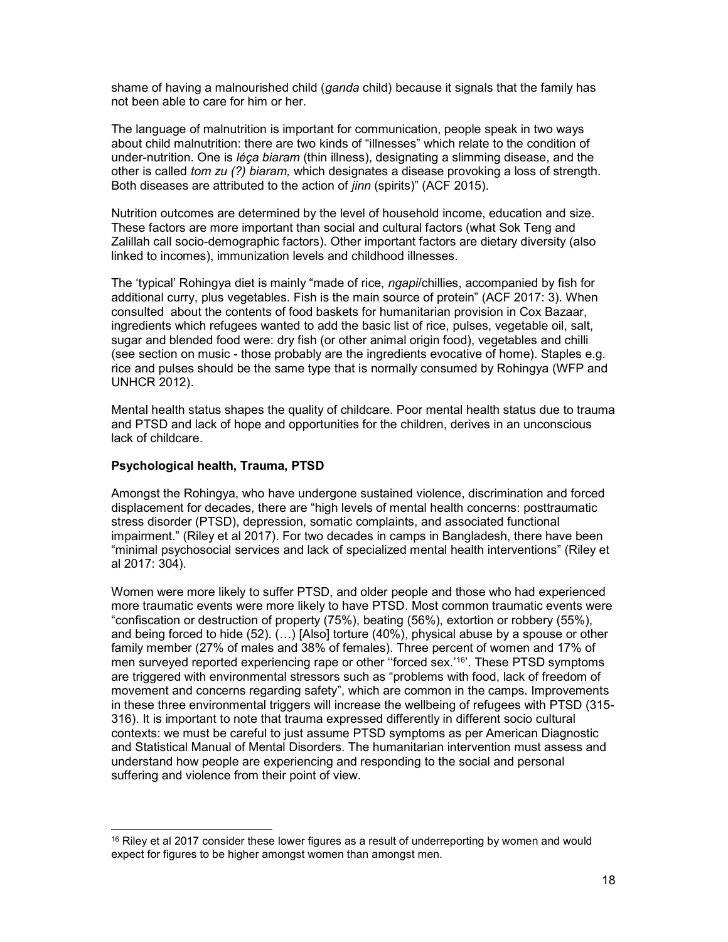shame of having a malnourished child (ganda child) because it signals that the family has not been able to care for him or her.

The language of malnutrition is important for communication, people speak in two ways about child malnutrition: there are two kinds of "illnesses" which relate to the condition of under-nutrition. One is *léça biaram* (thin illness), designating a slimming disease, and the other is called *tom zu (?) biaram*, which designates a disease provoking a loss of strength. Both diseases are attributed to the action of *jinn* (spirits)" (ACF 2015).

Nutrition outcomes are determined by the level of household income, education and size. These factors are more important than social and cultural factors (what Sok Teng and Zalillah call socio-demographic factors). Other important factors are dietary diversity (also linked to incomes), immunization levels and childhood illnesses.

The 'typical' Rohingya diet is mainly "made of rice, *ngapi*/chillies, accompanied by fish for additional curry, plus vegetables. Fish is the main source of protein" (ACF 2017: 3). When consulted about the contents of food baskets for humanitarian provision in Cox Bazaar, ingredients which refugees wanted to add the basic list of rice, pulses, vegetable oil, salt, sugar and blended food were: dry fish (or other animal origin food), vegetables and chilli (see section on music - those probably are the ingredients evocative of home). Staples e.g. rice and pulses should be the same type that is normally consumed by Rohingya (WFP and UNHCR 2012).

Mental health status shapes the quality of childcare. Poor mental health status due to trauma and PTSD and lack of hope and opportunities for the children, derives in an unconscious lack of childcare.

#### Psychological health, Trauma, PTSD

-

Amongst the Rohingya, who have undergone sustained violence, discrimination and forced displacement for decades, there are "high levels of mental health concerns: posttraumatic stress disorder (PTSD), depression, somatic complaints, and associated functional impairment." (Riley et al 2017). For two decades in camps in Bangladesh, there have been "minimal psychosocial services and lack of specialized mental health interventions" (Riley et al 2017: 304).

Women were more likely to suffer PTSD, and older people and those who had experienced more traumatic events were more likely to have PTSD. Most common traumatic events were "confiscation or destruction of property (75%), beating (56%), extortion or robbery (55%), and being forced to hide (52). (…) [Also] torture (40%), physical abuse by a spouse or other family member (27% of males and 38% of females). Three percent of women and 17% of men surveyed reported experiencing rape or other ''forced sex.'<sup>16</sup>'. These PTSD symptoms are triggered with environmental stressors such as "problems with food, lack of freedom of movement and concerns regarding safety", which are common in the camps. Improvements in these three environmental triggers will increase the wellbeing of refugees with PTSD (315- 316). It is important to note that trauma expressed differently in different socio cultural contexts: we must be careful to just assume PTSD symptoms as per American Diagnostic and Statistical Manual of Mental Disorders. The humanitarian intervention must assess and understand how people are experiencing and responding to the social and personal suffering and violence from their point of view.

 $16$  Riley et al 2017 consider these lower figures as a result of underreporting by women and would expect for figures to be higher amongst women than amongst men.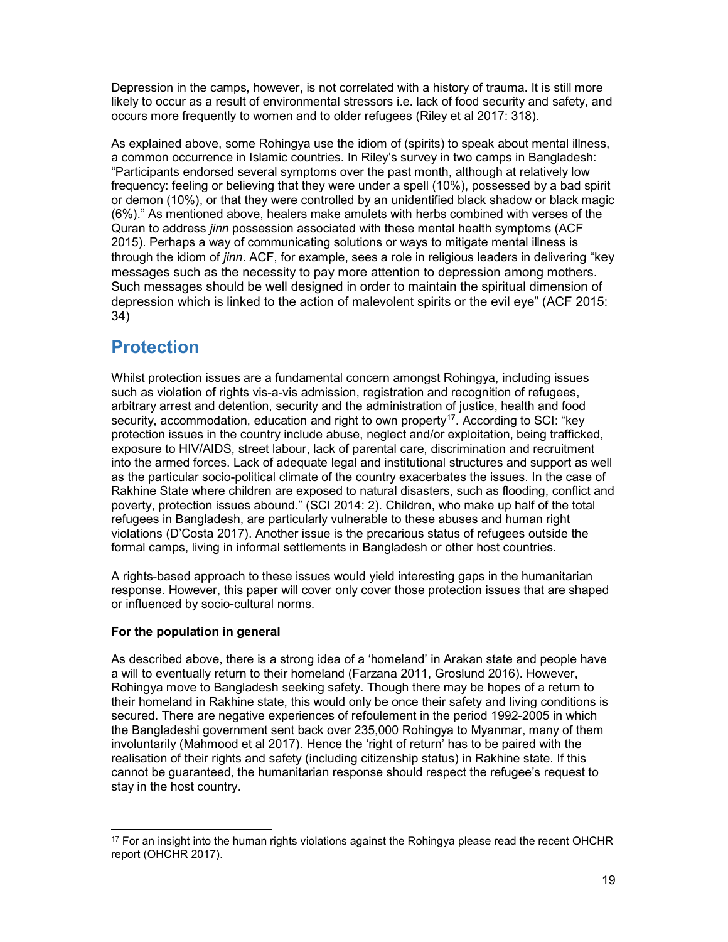Depression in the camps, however, is not correlated with a history of trauma. It is still more likely to occur as a result of environmental stressors i.e. lack of food security and safety, and occurs more frequently to women and to older refugees (Riley et al 2017: 318).

As explained above, some Rohingya use the idiom of (spirits) to speak about mental illness, a common occurrence in Islamic countries. In Riley's survey in two camps in Bangladesh: "Participants endorsed several symptoms over the past month, although at relatively low frequency: feeling or believing that they were under a spell (10%), possessed by a bad spirit or demon (10%), or that they were controlled by an unidentified black shadow or black magic (6%)." As mentioned above, healers make amulets with herbs combined with verses of the Quran to address jinn possession associated with these mental health symptoms (ACF 2015). Perhaps a way of communicating solutions or ways to mitigate mental illness is through the idiom of *jinn*. ACF, for example, sees a role in religious leaders in delivering "key messages such as the necessity to pay more attention to depression among mothers. Such messages should be well designed in order to maintain the spiritual dimension of depression which is linked to the action of malevolent spirits or the evil eye" (ACF 2015: 34)

### Protection

Whilst protection issues are a fundamental concern amongst Rohingya, including issues such as violation of rights vis-a-vis admission, registration and recognition of refugees, arbitrary arrest and detention, security and the administration of justice, health and food security, accommodation, education and right to own property<sup>17</sup>, According to SCI: "key protection issues in the country include abuse, neglect and/or exploitation, being trafficked, exposure to HIV/AIDS, street labour, lack of parental care, discrimination and recruitment into the armed forces. Lack of adequate legal and institutional structures and support as well as the particular socio-political climate of the country exacerbates the issues. In the case of Rakhine State where children are exposed to natural disasters, such as flooding, conflict and poverty, protection issues abound." (SCI 2014: 2). Children, who make up half of the total refugees in Bangladesh, are particularly vulnerable to these abuses and human right violations (D'Costa 2017). Another issue is the precarious status of refugees outside the formal camps, living in informal settlements in Bangladesh or other host countries.

A rights-based approach to these issues would yield interesting gaps in the humanitarian response. However, this paper will cover only cover those protection issues that are shaped or influenced by socio-cultural norms.

#### For the population in general

-

As described above, there is a strong idea of a 'homeland' in Arakan state and people have a will to eventually return to their homeland (Farzana 2011, Groslund 2016). However, Rohingya move to Bangladesh seeking safety. Though there may be hopes of a return to their homeland in Rakhine state, this would only be once their safety and living conditions is secured. There are negative experiences of refoulement in the period 1992-2005 in which the Bangladeshi government sent back over 235,000 Rohingya to Myanmar, many of them involuntarily (Mahmood et al 2017). Hence the 'right of return' has to be paired with the realisation of their rights and safety (including citizenship status) in Rakhine state. If this cannot be guaranteed, the humanitarian response should respect the refugee's request to stay in the host country.

<sup>&</sup>lt;sup>17</sup> For an insight into the human rights violations against the Rohingya please read the recent OHCHR report (OHCHR 2017).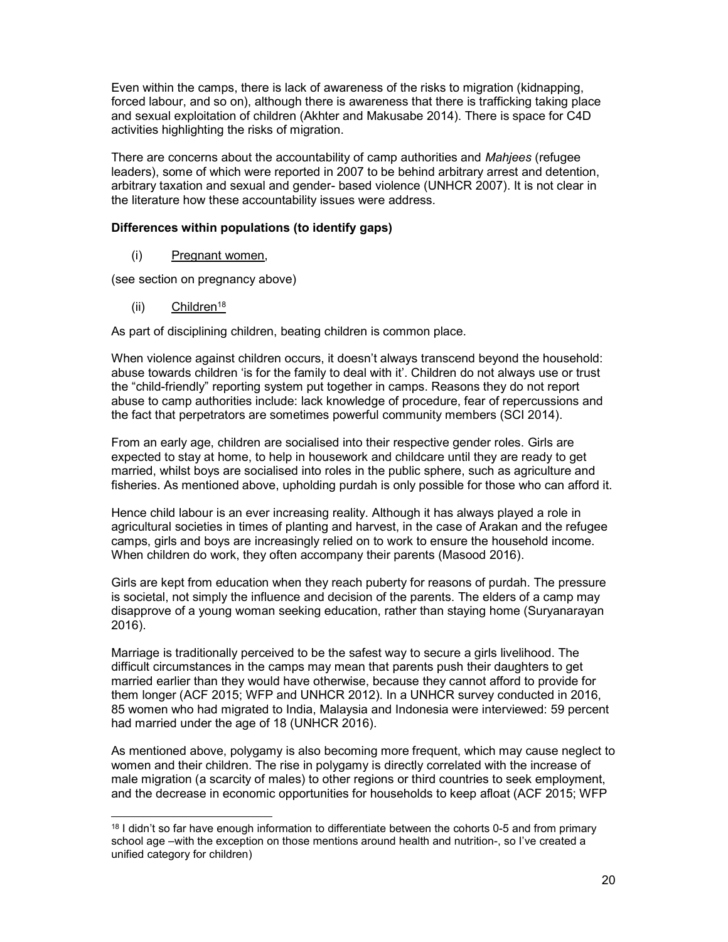Even within the camps, there is lack of awareness of the risks to migration (kidnapping, forced labour, and so on), although there is awareness that there is trafficking taking place and sexual exploitation of children (Akhter and Makusabe 2014). There is space for C4D activities highlighting the risks of migration.

There are concerns about the accountability of camp authorities and Mahjees (refugee leaders), some of which were reported in 2007 to be behind arbitrary arrest and detention, arbitrary taxation and sexual and gender- based violence (UNHCR 2007). It is not clear in the literature how these accountability issues were address.

#### Differences within populations (to identify gaps)

(i) Pregnant women,

(see section on pregnancy above)

 $(ii)$  Children<sup>18</sup>

As part of disciplining children, beating children is common place.

When violence against children occurs, it doesn't always transcend beyond the household: abuse towards children 'is for the family to deal with it'. Children do not always use or trust the "child-friendly" reporting system put together in camps. Reasons they do not report abuse to camp authorities include: lack knowledge of procedure, fear of repercussions and the fact that perpetrators are sometimes powerful community members (SCI 2014).

From an early age, children are socialised into their respective gender roles. Girls are expected to stay at home, to help in housework and childcare until they are ready to get married, whilst boys are socialised into roles in the public sphere, such as agriculture and fisheries. As mentioned above, upholding purdah is only possible for those who can afford it.

Hence child labour is an ever increasing reality. Although it has always played a role in agricultural societies in times of planting and harvest, in the case of Arakan and the refugee camps, girls and boys are increasingly relied on to work to ensure the household income. When children do work, they often accompany their parents (Masood 2016).

Girls are kept from education when they reach puberty for reasons of purdah. The pressure is societal, not simply the influence and decision of the parents. The elders of a camp may disapprove of a young woman seeking education, rather than staying home (Suryanarayan 2016).

Marriage is traditionally perceived to be the safest way to secure a girls livelihood. The difficult circumstances in the camps may mean that parents push their daughters to get married earlier than they would have otherwise, because they cannot afford to provide for them longer (ACF 2015; WFP and UNHCR 2012). In a UNHCR survey conducted in 2016, 85 women who had migrated to India, Malaysia and Indonesia were interviewed: 59 percent had married under the age of 18 (UNHCR 2016).

As mentioned above, polygamy is also becoming more frequent, which may cause neglect to women and their children. The rise in polygamy is directly correlated with the increase of male migration (a scarcity of males) to other regions or third countries to seek employment, and the decrease in economic opportunities for households to keep afloat (ACF 2015; WFP

<sup>-</sup><sup>18</sup> I didn't so far have enough information to differentiate between the cohorts 0-5 and from primary school age –with the exception on those mentions around health and nutrition-, so I've created a unified category for children)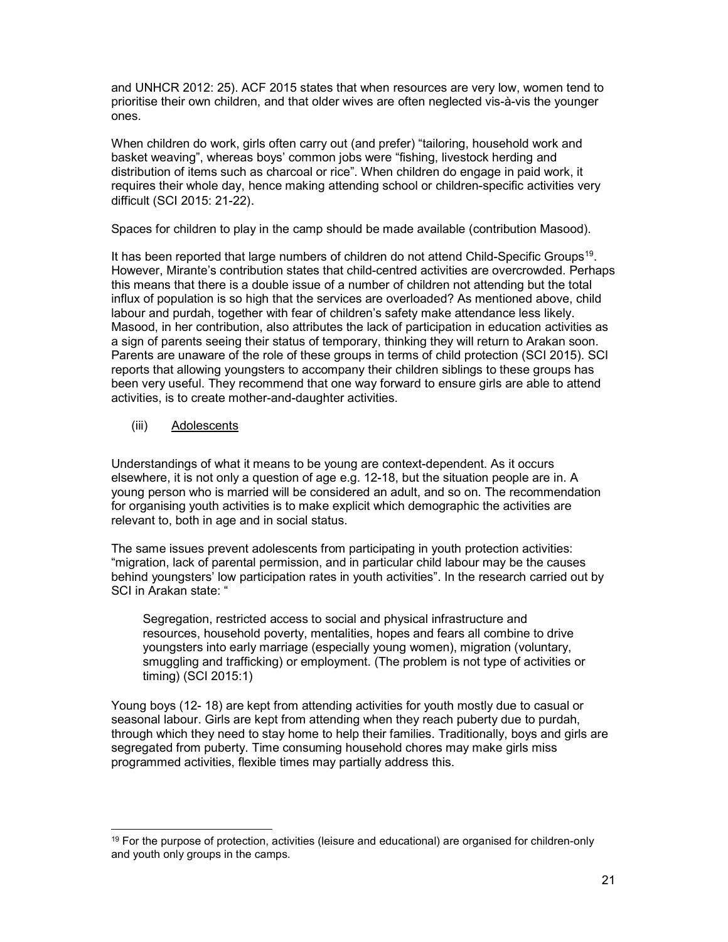and UNHCR 2012: 25). ACF 2015 states that when resources are very low, women tend to prioritise their own children, and that older wives are often neglected vis-à-vis the younger ones.

When children do work, girls often carry out (and prefer) "tailoring, household work and basket weaving", whereas boys' common jobs were "fishing, livestock herding and distribution of items such as charcoal or rice". When children do engage in paid work, it requires their whole day, hence making attending school or children-specific activities very difficult (SCI 2015: 21-22).

Spaces for children to play in the camp should be made available (contribution Masood).

It has been reported that large numbers of children do not attend Child-Specific Groups<sup>19</sup>. However, Mirante's contribution states that child-centred activities are overcrowded. Perhaps this means that there is a double issue of a number of children not attending but the total influx of population is so high that the services are overloaded? As mentioned above, child labour and purdah, together with fear of children's safety make attendance less likely. Masood, in her contribution, also attributes the lack of participation in education activities as a sign of parents seeing their status of temporary, thinking they will return to Arakan soon. Parents are unaware of the role of these groups in terms of child protection (SCI 2015). SCI reports that allowing youngsters to accompany their children siblings to these groups has been very useful. They recommend that one way forward to ensure girls are able to attend activities, is to create mother-and-daughter activities.

#### (iii) Adolescents

-

Understandings of what it means to be young are context-dependent. As it occurs elsewhere, it is not only a question of age e.g. 12-18, but the situation people are in. A young person who is married will be considered an adult, and so on. The recommendation for organising youth activities is to make explicit which demographic the activities are relevant to, both in age and in social status.

The same issues prevent adolescents from participating in youth protection activities: "migration, lack of parental permission, and in particular child labour may be the causes behind youngsters' low participation rates in youth activities". In the research carried out by SCI in Arakan state: "

Segregation, restricted access to social and physical infrastructure and resources, household poverty, mentalities, hopes and fears all combine to drive youngsters into early marriage (especially young women), migration (voluntary, smuggling and trafficking) or employment. (The problem is not type of activities or timing) (SCI 2015:1)

Young boys (12- 18) are kept from attending activities for youth mostly due to casual or seasonal labour. Girls are kept from attending when they reach puberty due to purdah, through which they need to stay home to help their families. Traditionally, boys and girls are segregated from puberty. Time consuming household chores may make girls miss programmed activities, flexible times may partially address this.

<sup>&</sup>lt;sup>19</sup> For the purpose of protection, activities (leisure and educational) are organised for children-only and youth only groups in the camps.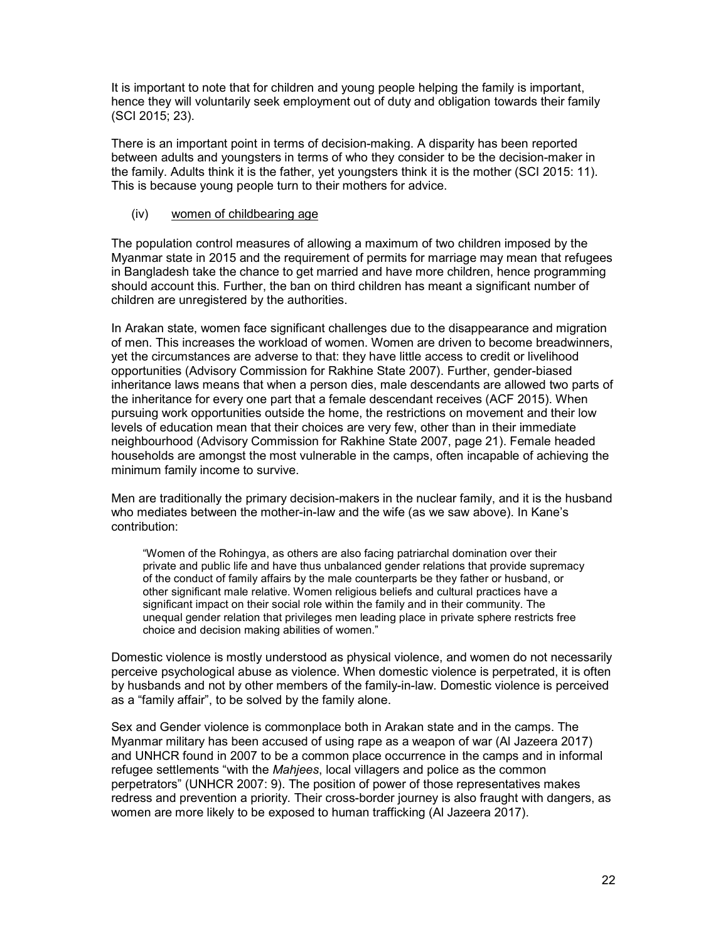It is important to note that for children and young people helping the family is important, hence they will voluntarily seek employment out of duty and obligation towards their family (SCI 2015; 23).

There is an important point in terms of decision-making. A disparity has been reported between adults and youngsters in terms of who they consider to be the decision-maker in the family. Adults think it is the father, yet youngsters think it is the mother (SCI 2015: 11). This is because young people turn to their mothers for advice.

#### (iv) women of childbearing age

The population control measures of allowing a maximum of two children imposed by the Myanmar state in 2015 and the requirement of permits for marriage may mean that refugees in Bangladesh take the chance to get married and have more children, hence programming should account this. Further, the ban on third children has meant a significant number of children are unregistered by the authorities.

In Arakan state, women face significant challenges due to the disappearance and migration of men. This increases the workload of women. Women are driven to become breadwinners, yet the circumstances are adverse to that: they have little access to credit or livelihood opportunities (Advisory Commission for Rakhine State 2007). Further, gender-biased inheritance laws means that when a person dies, male descendants are allowed two parts of the inheritance for every one part that a female descendant receives (ACF 2015). When pursuing work opportunities outside the home, the restrictions on movement and their low levels of education mean that their choices are very few, other than in their immediate neighbourhood (Advisory Commission for Rakhine State 2007, page 21). Female headed households are amongst the most vulnerable in the camps, often incapable of achieving the minimum family income to survive.

Men are traditionally the primary decision-makers in the nuclear family, and it is the husband who mediates between the mother-in-law and the wife (as we saw above). In Kane's contribution:

"Women of the Rohingya, as others are also facing patriarchal domination over their private and public life and have thus unbalanced gender relations that provide supremacy of the conduct of family affairs by the male counterparts be they father or husband, or other significant male relative. Women religious beliefs and cultural practices have a significant impact on their social role within the family and in their community. The unequal gender relation that privileges men leading place in private sphere restricts free choice and decision making abilities of women."

Domestic violence is mostly understood as physical violence, and women do not necessarily perceive psychological abuse as violence. When domestic violence is perpetrated, it is often by husbands and not by other members of the family-in-law. Domestic violence is perceived as a "family affair", to be solved by the family alone.

Sex and Gender violence is commonplace both in Arakan state and in the camps. The Myanmar military has been accused of using rape as a weapon of war (Al Jazeera 2017) and UNHCR found in 2007 to be a common place occurrence in the camps and in informal refugee settlements "with the Mahjees, local villagers and police as the common perpetrators" (UNHCR 2007: 9). The position of power of those representatives makes redress and prevention a priority. Their cross-border journey is also fraught with dangers, as women are more likely to be exposed to human trafficking (Al Jazeera 2017).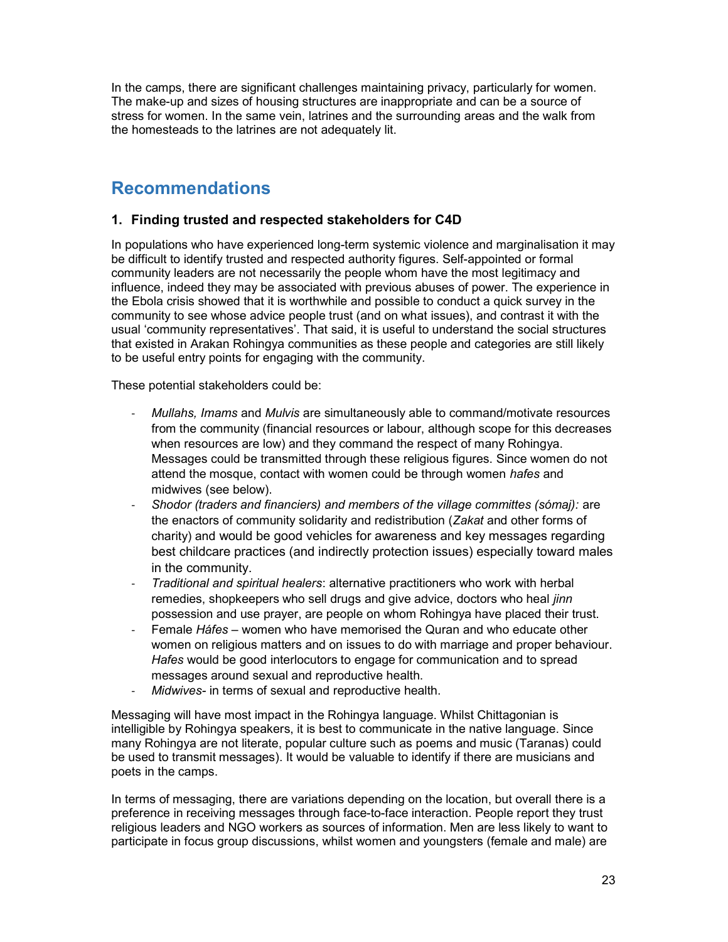In the camps, there are significant challenges maintaining privacy, particularly for women. The make-up and sizes of housing structures are inappropriate and can be a source of stress for women. In the same vein, latrines and the surrounding areas and the walk from the homesteads to the latrines are not adequately lit.

### Recommendations

#### 1. Finding trusted and respected stakeholders for C4D

In populations who have experienced long-term systemic violence and marginalisation it may be difficult to identify trusted and respected authority figures. Self-appointed or formal community leaders are not necessarily the people whom have the most legitimacy and influence, indeed they may be associated with previous abuses of power. The experience in the Ebola crisis showed that it is worthwhile and possible to conduct a quick survey in the community to see whose advice people trust (and on what issues), and contrast it with the usual 'community representatives'. That said, it is useful to understand the social structures that existed in Arakan Rohingya communities as these people and categories are still likely to be useful entry points for engaging with the community.

These potential stakeholders could be:

- Mullahs, Imams and Mulvis are simultaneously able to command/motivate resources from the community (financial resources or labour, although scope for this decreases when resources are low) and they command the respect of many Rohingya. Messages could be transmitted through these religious figures. Since women do not attend the mosque, contact with women could be through women hafes and midwives (see below).
- Shodor (traders and financiers) and members of the village committes (sómaj): are the enactors of community solidarity and redistribution (Zakat and other forms of charity) and would be good vehicles for awareness and key messages regarding best childcare practices (and indirectly protection issues) especially toward males in the community.
- Traditional and spiritual healers: alternative practitioners who work with herbal remedies, shopkeepers who sell drugs and give advice, doctors who heal *jinn* possession and use prayer, are people on whom Rohingya have placed their trust.
- Female Háfes women who have memorised the Quran and who educate other women on religious matters and on issues to do with marriage and proper behaviour. Hafes would be good interlocutors to engage for communication and to spread messages around sexual and reproductive health.
- Midwives- in terms of sexual and reproductive health.

Messaging will have most impact in the Rohingya language. Whilst Chittagonian is intelligible by Rohingya speakers, it is best to communicate in the native language. Since many Rohingya are not literate, popular culture such as poems and music (Taranas) could be used to transmit messages). It would be valuable to identify if there are musicians and poets in the camps.

In terms of messaging, there are variations depending on the location, but overall there is a preference in receiving messages through face-to-face interaction. People report they trust religious leaders and NGO workers as sources of information. Men are less likely to want to participate in focus group discussions, whilst women and youngsters (female and male) are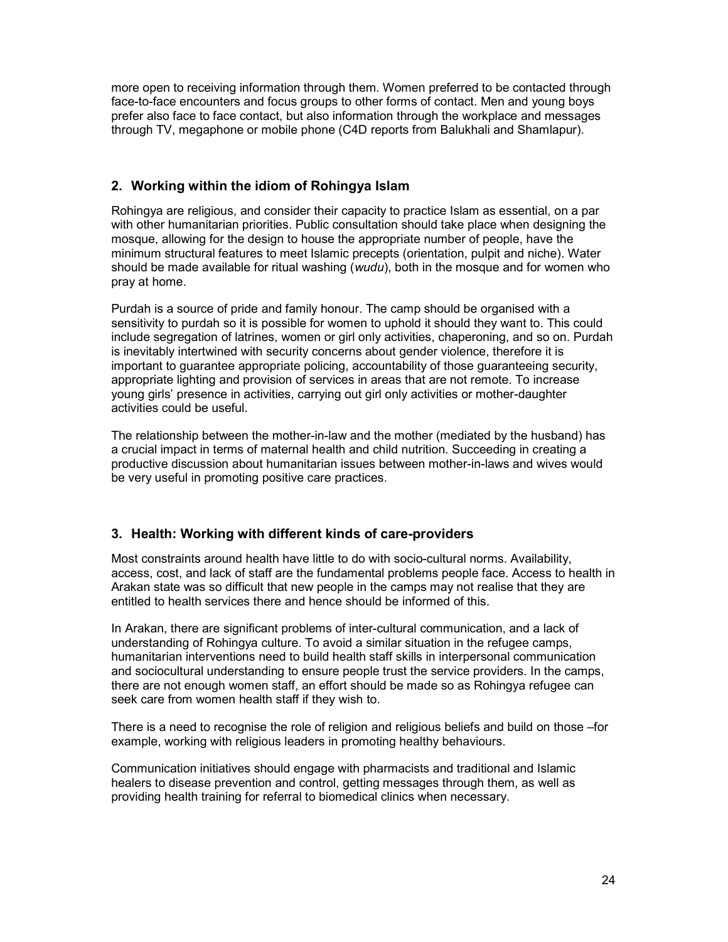more open to receiving information through them. Women preferred to be contacted through face-to-face encounters and focus groups to other forms of contact. Men and young boys prefer also face to face contact, but also information through the workplace and messages through TV, megaphone or mobile phone (C4D reports from Balukhali and Shamlapur).

#### 2. Working within the idiom of Rohingya Islam

Rohingya are religious, and consider their capacity to practice Islam as essential, on a par with other humanitarian priorities. Public consultation should take place when designing the mosque, allowing for the design to house the appropriate number of people, have the minimum structural features to meet Islamic precepts (orientation, pulpit and niche). Water should be made available for ritual washing (wudu), both in the mosque and for women who pray at home.

Purdah is a source of pride and family honour. The camp should be organised with a sensitivity to purdah so it is possible for women to uphold it should they want to. This could include segregation of latrines, women or girl only activities, chaperoning, and so on. Purdah is inevitably intertwined with security concerns about gender violence, therefore it is important to guarantee appropriate policing, accountability of those guaranteeing security, appropriate lighting and provision of services in areas that are not remote. To increase young girls' presence in activities, carrying out girl only activities or mother-daughter activities could be useful.

The relationship between the mother-in-law and the mother (mediated by the husband) has a crucial impact in terms of maternal health and child nutrition. Succeeding in creating a productive discussion about humanitarian issues between mother-in-laws and wives would be very useful in promoting positive care practices.

#### 3. Health: Working with different kinds of care-providers

Most constraints around health have little to do with socio-cultural norms. Availability, access, cost, and lack of staff are the fundamental problems people face. Access to health in Arakan state was so difficult that new people in the camps may not realise that they are entitled to health services there and hence should be informed of this.

In Arakan, there are significant problems of inter-cultural communication, and a lack of understanding of Rohingya culture. To avoid a similar situation in the refugee camps, humanitarian interventions need to build health staff skills in interpersonal communication and sociocultural understanding to ensure people trust the service providers. In the camps, there are not enough women staff, an effort should be made so as Rohingya refugee can seek care from women health staff if they wish to.

There is a need to recognise the role of religion and religious beliefs and build on those –for example, working with religious leaders in promoting healthy behaviours.

Communication initiatives should engage with pharmacists and traditional and Islamic healers to disease prevention and control, getting messages through them, as well as providing health training for referral to biomedical clinics when necessary.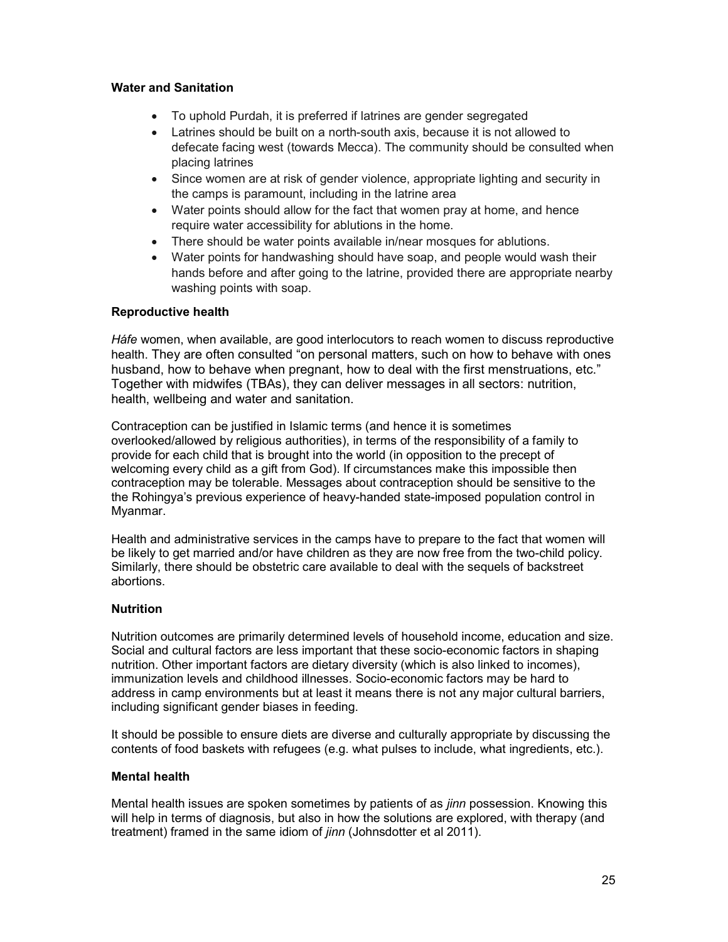#### Water and Sanitation

- To uphold Purdah, it is preferred if latrines are gender segregated
- Latrines should be built on a north-south axis, because it is not allowed to defecate facing west (towards Mecca). The community should be consulted when placing latrines
- Since women are at risk of gender violence, appropriate lighting and security in the camps is paramount, including in the latrine area
- Water points should allow for the fact that women pray at home, and hence require water accessibility for ablutions in the home.
- There should be water points available in/near mosques for ablutions.
- Water points for handwashing should have soap, and people would wash their hands before and after going to the latrine, provided there are appropriate nearby washing points with soap.

#### Reproductive health

Háfe women, when available, are good interlocutors to reach women to discuss reproductive health. They are often consulted "on personal matters, such on how to behave with ones husband, how to behave when pregnant, how to deal with the first menstruations, etc." Together with midwifes (TBAs), they can deliver messages in all sectors: nutrition, health, wellbeing and water and sanitation.

Contraception can be justified in Islamic terms (and hence it is sometimes overlooked/allowed by religious authorities), in terms of the responsibility of a family to provide for each child that is brought into the world (in opposition to the precept of welcoming every child as a gift from God). If circumstances make this impossible then contraception may be tolerable. Messages about contraception should be sensitive to the the Rohingya's previous experience of heavy-handed state-imposed population control in Myanmar.

Health and administrative services in the camps have to prepare to the fact that women will be likely to get married and/or have children as they are now free from the two-child policy. Similarly, there should be obstetric care available to deal with the sequels of backstreet abortions.

#### **Nutrition**

Nutrition outcomes are primarily determined levels of household income, education and size. Social and cultural factors are less important that these socio-economic factors in shaping nutrition. Other important factors are dietary diversity (which is also linked to incomes), immunization levels and childhood illnesses. Socio-economic factors may be hard to address in camp environments but at least it means there is not any major cultural barriers, including significant gender biases in feeding.

It should be possible to ensure diets are diverse and culturally appropriate by discussing the contents of food baskets with refugees (e.g. what pulses to include, what ingredients, etc.).

#### Mental health

Mental health issues are spoken sometimes by patients of as *jinn* possession. Knowing this will help in terms of diagnosis, but also in how the solutions are explored, with therapy (and treatment) framed in the same idiom of jinn (Johnsdotter et al 2011).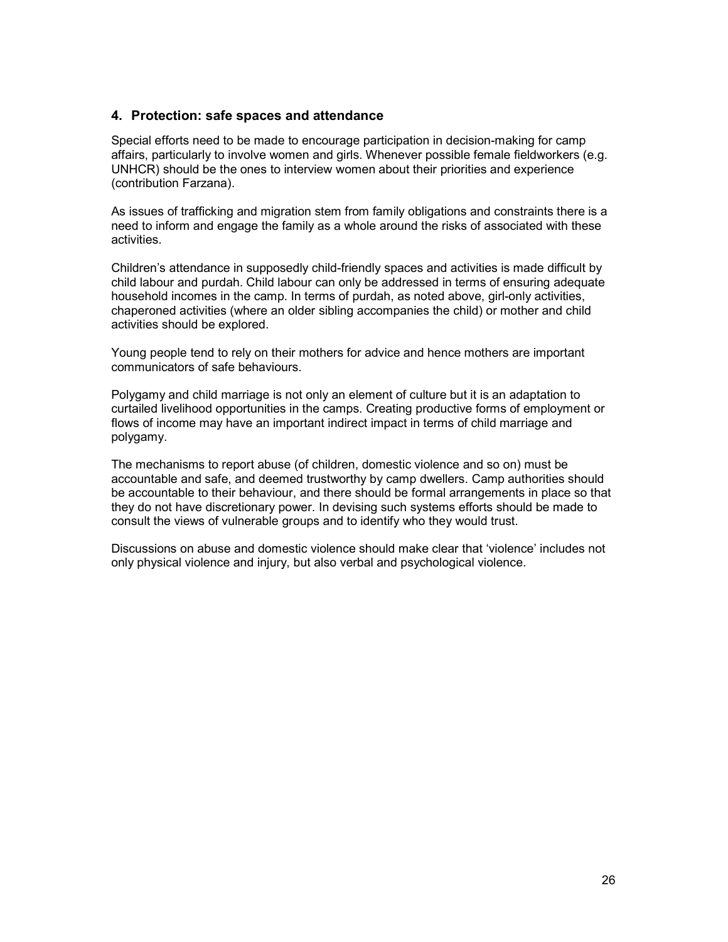#### 4. Protection: safe spaces and attendance

Special efforts need to be made to encourage participation in decision-making for camp affairs, particularly to involve women and girls. Whenever possible female fieldworkers (e.g. UNHCR) should be the ones to interview women about their priorities and experience (contribution Farzana).

As issues of trafficking and migration stem from family obligations and constraints there is a need to inform and engage the family as a whole around the risks of associated with these activities.

Children's attendance in supposedly child-friendly spaces and activities is made difficult by child labour and purdah. Child labour can only be addressed in terms of ensuring adequate household incomes in the camp. In terms of purdah, as noted above, girl-only activities, chaperoned activities (where an older sibling accompanies the child) or mother and child activities should be explored.

Young people tend to rely on their mothers for advice and hence mothers are important communicators of safe behaviours.

Polygamy and child marriage is not only an element of culture but it is an adaptation to curtailed livelihood opportunities in the camps. Creating productive forms of employment or flows of income may have an important indirect impact in terms of child marriage and polygamy.

The mechanisms to report abuse (of children, domestic violence and so on) must be accountable and safe, and deemed trustworthy by camp dwellers. Camp authorities should be accountable to their behaviour, and there should be formal arrangements in place so that they do not have discretionary power. In devising such systems efforts should be made to consult the views of vulnerable groups and to identify who they would trust.

Discussions on abuse and domestic violence should make clear that 'violence' includes not only physical violence and injury, but also verbal and psychological violence.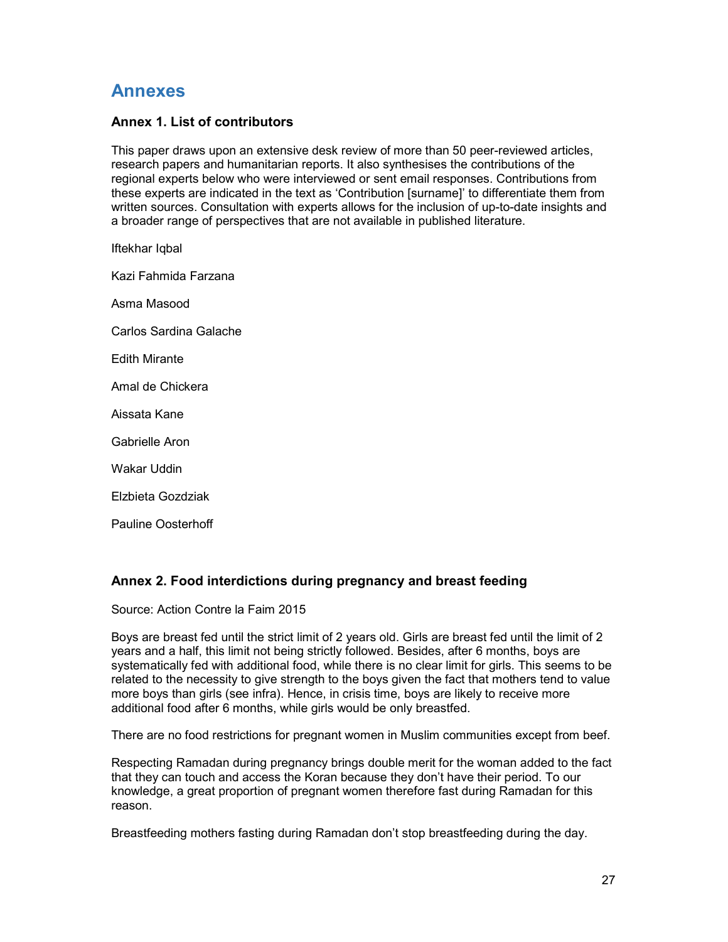### Annexes

#### Annex 1. List of contributors

This paper draws upon an extensive desk review of more than 50 peer-reviewed articles, research papers and humanitarian reports. It also synthesises the contributions of the regional experts below who were interviewed or sent email responses. Contributions from these experts are indicated in the text as 'Contribution [surname]' to differentiate them from written sources. Consultation with experts allows for the inclusion of up-to-date insights and a broader range of perspectives that are not available in published literature.

Iftekhar Iqbal Kazi Fahmida Farzana Asma Masood Carlos Sardina Galache Edith Mirante Amal de Chickera Aissata Kane Gabrielle Aron Wakar Uddin Elzbieta Gozdziak Pauline Oosterhoff

#### Annex 2. Food interdictions during pregnancy and breast feeding

Source: Action Contre la Faim 2015

Boys are breast fed until the strict limit of 2 years old. Girls are breast fed until the limit of 2 years and a half, this limit not being strictly followed. Besides, after 6 months, boys are systematically fed with additional food, while there is no clear limit for girls. This seems to be related to the necessity to give strength to the boys given the fact that mothers tend to value more boys than girls (see infra). Hence, in crisis time, boys are likely to receive more additional food after 6 months, while girls would be only breastfed.

There are no food restrictions for pregnant women in Muslim communities except from beef.

Respecting Ramadan during pregnancy brings double merit for the woman added to the fact that they can touch and access the Koran because they don't have their period. To our knowledge, a great proportion of pregnant women therefore fast during Ramadan for this reason.

Breastfeeding mothers fasting during Ramadan don't stop breastfeeding during the day.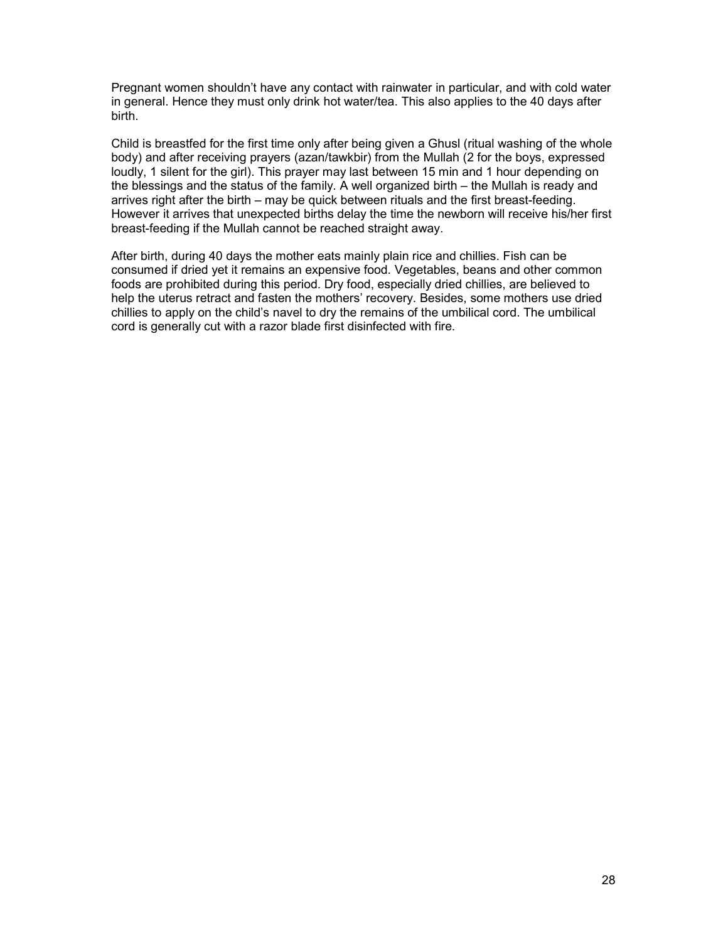Pregnant women shouldn't have any contact with rainwater in particular, and with cold water in general. Hence they must only drink hot water/tea. This also applies to the 40 days after birth.

Child is breastfed for the first time only after being given a Ghusl (ritual washing of the whole body) and after receiving prayers (azan/tawkbir) from the Mullah (2 for the boys, expressed loudly, 1 silent for the girl). This prayer may last between 15 min and 1 hour depending on the blessings and the status of the family. A well organized birth – the Mullah is ready and arrives right after the birth – may be quick between rituals and the first breast-feeding. However it arrives that unexpected births delay the time the newborn will receive his/her first breast-feeding if the Mullah cannot be reached straight away.

After birth, during 40 days the mother eats mainly plain rice and chillies. Fish can be consumed if dried yet it remains an expensive food. Vegetables, beans and other common foods are prohibited during this period. Dry food, especially dried chillies, are believed to help the uterus retract and fasten the mothers' recovery. Besides, some mothers use dried chillies to apply on the child's navel to dry the remains of the umbilical cord. The umbilical cord is generally cut with a razor blade first disinfected with fire.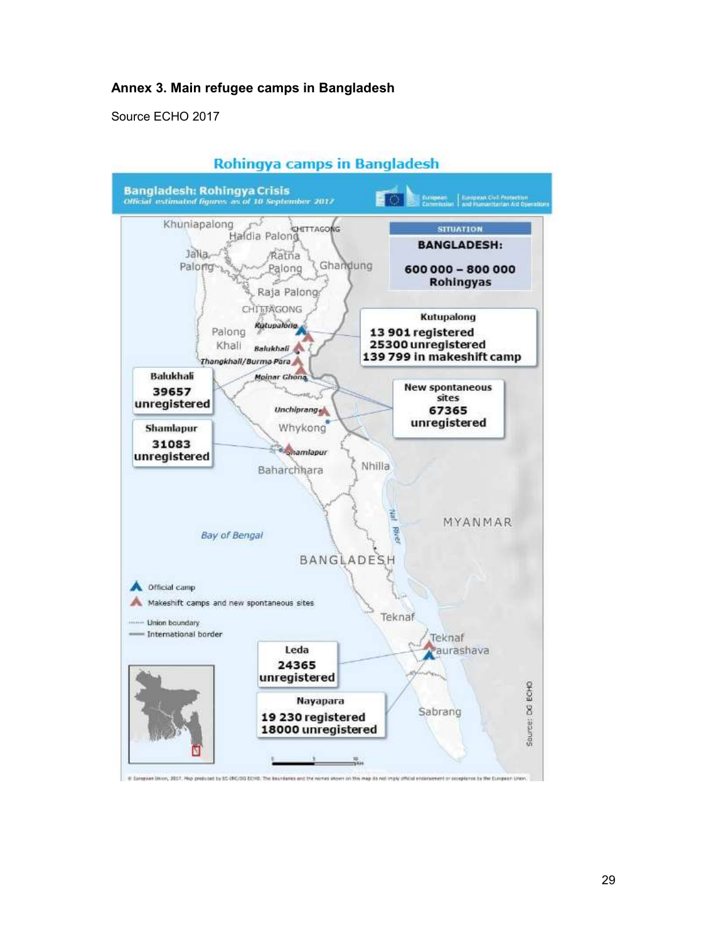#### Annex 3. Main refugee camps in Bangladesh

Source ECHO 2017

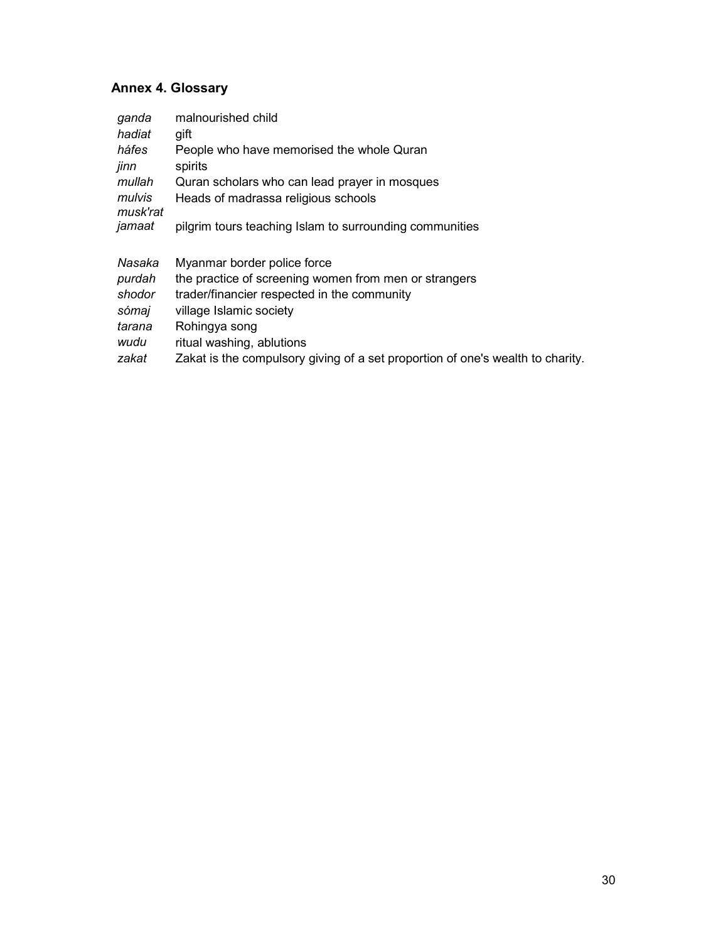### Annex 4. Glossary

| ganda<br>hadiat<br>háfes<br>jinn<br>mullah<br>mulvis<br>musk'rat<br>jamaat | malnourished child<br>gift<br>People who have memorised the whole Quran<br>spirits<br>Quran scholars who can lead prayer in mosques<br>Heads of madrassa religious schools<br>pilgrim tours teaching Islam to surrounding communities |
|----------------------------------------------------------------------------|---------------------------------------------------------------------------------------------------------------------------------------------------------------------------------------------------------------------------------------|
| Nasaka                                                                     | Myanmar border police force                                                                                                                                                                                                           |
| purdah                                                                     | the practice of screening women from men or strangers                                                                                                                                                                                 |
| shodor                                                                     | trader/financier respected in the community                                                                                                                                                                                           |
| sómaj                                                                      | village Islamic society                                                                                                                                                                                                               |
| tarana                                                                     | Rohingya song                                                                                                                                                                                                                         |
| wudu                                                                       | ritual washing, ablutions                                                                                                                                                                                                             |
| zakat                                                                      | Zakat is the compulsory giving of a set proportion of one's wealth to charity.                                                                                                                                                        |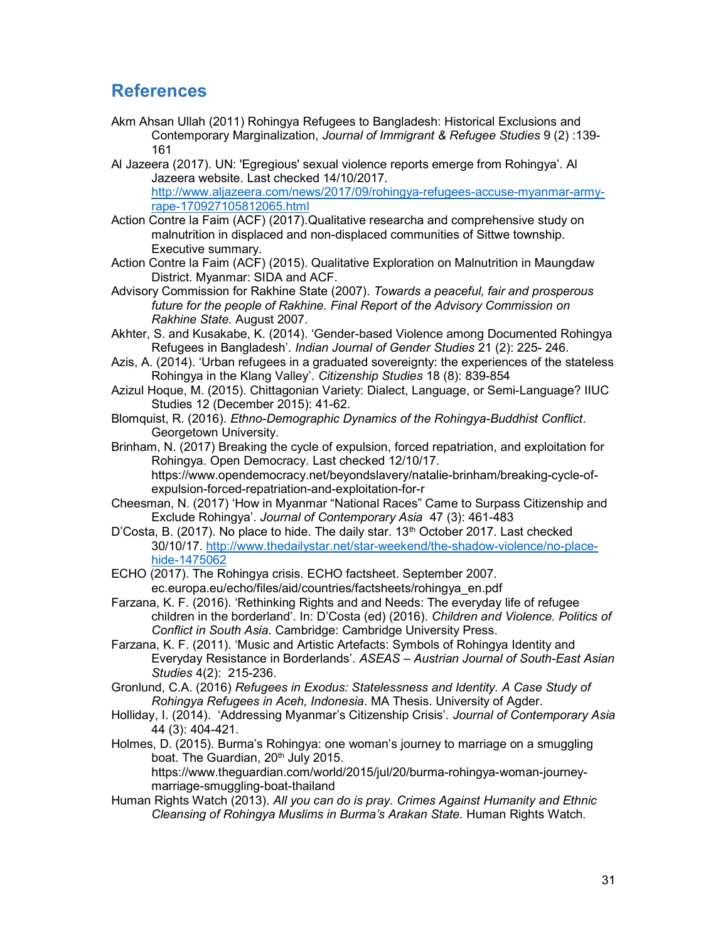### **References**

- Akm Ahsan Ullah (2011) Rohingya Refugees to Bangladesh: Historical Exclusions and Contemporary Marginalization, Journal of Immigrant & Refugee Studies 9 (2) :139- 161
- Al Jazeera (2017). UN: 'Egregious' sexual violence reports emerge from Rohingya'. Al Jazeera website. Last checked 14/10/2017. http://www.aljazeera.com/news/2017/09/rohingya-refugees-accuse-myanmar-armyrape-170927105812065.html
- Action Contre la Faim (ACF) (2017).Qualitative researcha and comprehensive study on malnutrition in displaced and non-displaced communities of Sittwe township. Executive summary.
- Action Contre la Faim (ACF) (2015). Qualitative Exploration on Malnutrition in Maungdaw District. Myanmar: SIDA and ACF.
- Advisory Commission for Rakhine State (2007). Towards a peaceful, fair and prosperous future for the people of Rakhine. Final Report of the Advisory Commission on Rakhine State. August 2007.
- Akhter, S. and Kusakabe, K. (2014). 'Gender-based Violence among Documented Rohingya Refugees in Bangladesh'. Indian Journal of Gender Studies 21 (2): 225- 246.
- Azis, A. (2014). 'Urban refugees in a graduated sovereignty: the experiences of the stateless Rohingya in the Klang Valley'. Citizenship Studies 18 (8): 839-854
- Azizul Hoque, M. (2015). Chittagonian Variety: Dialect, Language, or Semi-Language? IIUC Studies 12 (December 2015): 41-62.
- Blomquist, R. (2016). Ethno-Demographic Dynamics of the Rohingya-Buddhist Conflict. Georgetown University.
- Brinham, N. (2017) Breaking the cycle of expulsion, forced repatriation, and exploitation for Rohingya. Open Democracy. Last checked 12/10/17. https://www.opendemocracy.net/beyondslavery/natalie-brinham/breaking-cycle-ofexpulsion-forced-repatriation-and-exploitation-for-r
- Cheesman, N. (2017) 'How in Myanmar "National Races" Came to Surpass Citizenship and Exclude Rohingya'. Journal of Contemporary Asia 47 (3): 461-483
- D'Costa, B. (2017). No place to hide. The daily star. 13<sup>th</sup> October 2017. Last checked 30/10/17. http://www.thedailystar.net/star-weekend/the-shadow-violence/no-placehide-1475062
- ECHO (2017). The Rohingya crisis. ECHO factsheet. September 2007. ec.europa.eu/echo/files/aid/countries/factsheets/rohingya\_en.pdf
- Farzana, K. F. (2016). 'Rethinking Rights and and Needs: The everyday life of refugee children in the borderland'. In: D'Costa (ed) (2016). Children and Violence. Politics of Conflict in South Asia. Cambridge: Cambridge University Press.
- Farzana, K. F. (2011). 'Music and Artistic Artefacts: Symbols of Rohingya Identity and Everyday Resistance in Borderlands'. ASEAS – Austrian Journal of South-East Asian Studies 4(2): 215-236.
- Gronlund, C.A. (2016) Refugees in Exodus: Statelessness and Identity. A Case Study of Rohingya Refugees in Aceh, Indonesia. MA Thesis. University of Agder.
- Holliday, I. (2014). 'Addressing Myanmar's Citizenship Crisis'. Journal of Contemporary Asia 44 (3): 404-421.
- Holmes, D. (2015). Burma's Rohingya: one woman's journey to marriage on a smuggling boat. The Guardian, 20<sup>th</sup> July 2015. https://www.theguardian.com/world/2015/jul/20/burma-rohingya-woman-journey-
- marriage-smuggling-boat-thailand Human Rights Watch (2013). All you can do is pray. Crimes Against Humanity and Ethnic Cleansing of Rohingya Muslims in Burma's Arakan State. Human Rights Watch.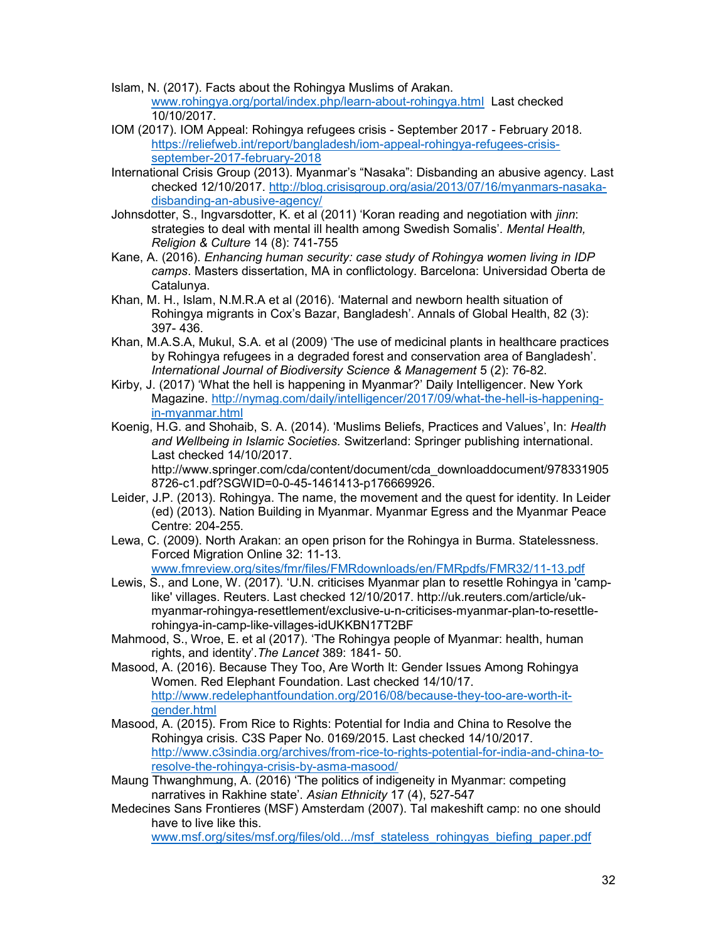- Islam, N. (2017). Facts about the Rohingya Muslims of Arakan. www.rohingya.org/portal/index.php/learn-about-rohingya.html Last checked 10/10/2017.
- IOM (2017). IOM Appeal: Rohingya refugees crisis September 2017 February 2018. https://reliefweb.int/report/bangladesh/iom-appeal-rohingya-refugees-crisisseptember-2017-february-2018
- International Crisis Group (2013). Myanmar's "Nasaka": Disbanding an abusive agency. Last checked 12/10/2017. http://blog.crisisgroup.org/asia/2013/07/16/myanmars-nasakadisbanding-an-abusive-agency/
- Johnsdotter, S., Ingvarsdotter, K. et al (2011) 'Koran reading and negotiation with jinn: strategies to deal with mental ill health among Swedish Somalis'. Mental Health, Religion & Culture 14 (8): 741-755
- Kane, A. (2016). Enhancing human security: case study of Rohingya women living in IDP camps. Masters dissertation, MA in conflictology. Barcelona: Universidad Oberta de Catalunya.
- Khan, M. H., Islam, N.M.R.A et al (2016). 'Maternal and newborn health situation of Rohingya migrants in Cox's Bazar, Bangladesh'. Annals of Global Health, 82 (3): 397- 436.
- Khan, M.A.S.A, Mukul, S.A. et al (2009) 'The use of medicinal plants in healthcare practices by Rohingya refugees in a degraded forest and conservation area of Bangladesh'. International Journal of Biodiversity Science & Management 5 (2): 76-82.
- Kirby, J. (2017) 'What the hell is happening in Myanmar?' Daily Intelligencer. New York Magazine. http://nymag.com/daily/intelligencer/2017/09/what-the-hell-is-happeningin-myanmar.html
- Koenig, H.G. and Shohaib, S. A. (2014). 'Muslims Beliefs, Practices and Values', In: Health and Wellbeing in Islamic Societies. Switzerland: Springer publishing international. Last checked 14/10/2017.

http://www.springer.com/cda/content/document/cda\_downloaddocument/978331905 8726-c1.pdf?SGWID=0-0-45-1461413-p176669926.

- Leider, J.P. (2013). Rohingya. The name, the movement and the quest for identity. In Leider (ed) (2013). Nation Building in Myanmar. Myanmar Egress and the Myanmar Peace Centre: 204-255.
- Lewa, C. (2009). North Arakan: an open prison for the Rohingya in Burma. Statelessness. Forced Migration Online 32: 11-13. www.fmreview.org/sites/fmr/files/FMRdownloads/en/FMRpdfs/FMR32/11-13.pdf
- Lewis, S., and Lone, W. (2017). 'U.N. criticises Myanmar plan to resettle Rohingya in 'camplike' villages. Reuters. Last checked 12/10/2017. http://uk.reuters.com/article/ukmyanmar-rohingya-resettlement/exclusive-u-n-criticises-myanmar-plan-to-resettlerohingya-in-camp-like-villages-idUKKBN17T2BF
- Mahmood, S., Wroe, E. et al (2017). 'The Rohingya people of Myanmar: health, human rights, and identity'.The Lancet 389: 1841- 50.
- Masood, A. (2016). Because They Too, Are Worth It: Gender Issues Among Rohingya Women. Red Elephant Foundation. Last checked 14/10/17. http://www.redelephantfoundation.org/2016/08/because-they-too-are-worth-itgender.html
- Masood, A. (2015). From Rice to Rights: Potential for India and China to Resolve the Rohingya crisis. C3S Paper No. 0169/2015. Last checked 14/10/2017. http://www.c3sindia.org/archives/from-rice-to-rights-potential-for-india-and-china-toresolve-the-rohingya-crisis-by-asma-masood/
- Maung Thwanghmung, A. (2016) 'The politics of indigeneity in Myanmar: competing narratives in Rakhine state'. Asian Ethnicity 17 (4), 527-547
- Medecines Sans Frontieres (MSF) Amsterdam (2007). Tal makeshift camp: no one should have to live like this.

www.msf.org/sites/msf.org/files/old.../msf\_stateless\_rohingyas\_biefing\_paper.pdf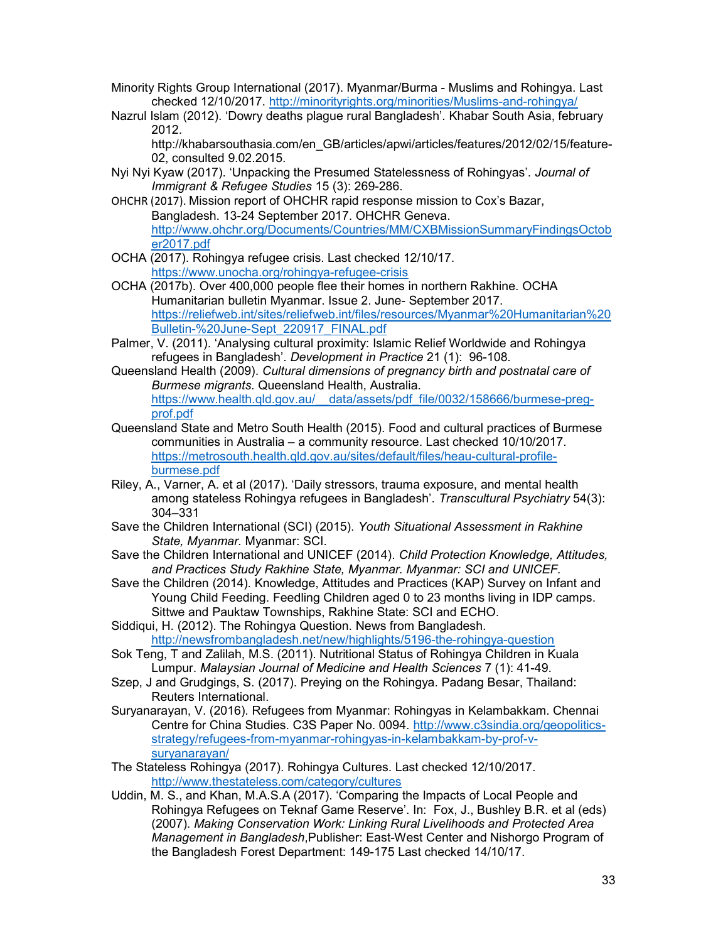- Minority Rights Group International (2017). Myanmar/Burma Muslims and Rohingya. Last checked 12/10/2017. http://minorityrights.org/minorities/Muslims-and-rohingya/
- Nazrul Islam (2012). 'Dowry deaths plague rural Bangladesh'. Khabar South Asia, february 2012.

http://khabarsouthasia.com/en\_GB/articles/apwi/articles/features/2012/02/15/feature-02, consulted 9.02.2015.

- Nyi Nyi Kyaw (2017). 'Unpacking the Presumed Statelessness of Rohingyas'. Journal of Immigrant & Refugee Studies 15 (3): 269-286.
- OHCHR (2017). Mission report of OHCHR rapid response mission to Cox's Bazar, Bangladesh. 13-24 September 2017. OHCHR Geneva. http://www.ohchr.org/Documents/Countries/MM/CXBMissionSummaryFindingsOctob er2017.pdf
- OCHA (2017). Rohingya refugee crisis. Last checked 12/10/17. https://www.unocha.org/rohingya-refugee-crisis
- OCHA (2017b). Over 400,000 people flee their homes in northern Rakhine. OCHA Humanitarian bulletin Myanmar. Issue 2. June- September 2017. https://reliefweb.int/sites/reliefweb.int/files/resources/Myanmar%20Humanitarian%20 Bulletin-%20June-Sept\_220917\_FINAL.pdf
- Palmer, V. (2011). 'Analysing cultural proximity: Islamic Relief Worldwide and Rohingya refugees in Bangladesh'. Development in Practice 21 (1): 96-108.
- Queensland Health (2009). Cultural dimensions of pregnancy birth and postnatal care of Burmese migrants. Queensland Health, Australia. https://www.health.qld.gov.au/\_\_data/assets/pdf\_file/0032/158666/burmese-pregprof.pdf
- Queensland State and Metro South Health (2015). Food and cultural practices of Burmese communities in Australia – a community resource. Last checked 10/10/2017. https://metrosouth.health.qld.gov.au/sites/default/files/heau-cultural-profileburmese.pdf
- Riley, A., Varner, A. et al (2017). 'Daily stressors, trauma exposure, and mental health among stateless Rohingya refugees in Bangladesh'. Transcultural Psychiatry 54(3): 304–331
- Save the Children International (SCI) (2015). Youth Situational Assessment in Rakhine State, Myanmar. Myanmar: SCI.
- Save the Children International and UNICEF (2014). Child Protection Knowledge, Attitudes, and Practices Study Rakhine State, Myanmar. Myanmar: SCI and UNICEF.
- Save the Children (2014). Knowledge, Attitudes and Practices (KAP) Survey on Infant and Young Child Feeding. Feedling Children aged 0 to 23 months living in IDP camps. Sittwe and Pauktaw Townships, Rakhine State: SCI and ECHO.
- Siddiqui, H. (2012). The Rohingya Question. News from Bangladesh. http://newsfrombangladesh.net/new/highlights/5196-the-rohingya-question
- Sok Teng, T and Zalilah, M.S. (2011). Nutritional Status of Rohingya Children in Kuala Lumpur. Malaysian Journal of Medicine and Health Sciences 7 (1): 41-49.
- Szep, J and Grudgings, S. (2017). Preying on the Rohingya. Padang Besar, Thailand: Reuters International.
- Suryanarayan, V. (2016). Refugees from Myanmar: Rohingyas in Kelambakkam. Chennai Centre for China Studies. C3S Paper No. 0094. http://www.c3sindia.org/geopoliticsstrategy/refugees-from-myanmar-rohingyas-in-kelambakkam-by-prof-vsuryanarayan/
- The Stateless Rohingya (2017). Rohingya Cultures. Last checked 12/10/2017. http://www.thestateless.com/category/cultures
- Uddin, M. S., and Khan, M.A.S.A (2017). 'Comparing the Impacts of Local People and Rohingya Refugees on Teknaf Game Reserve'. In: Fox, J., Bushley B.R. et al (eds) (2007). Making Conservation Work: Linking Rural Livelihoods and Protected Area Management in Bangladesh,Publisher: East-West Center and Nishorgo Program of the Bangladesh Forest Department: 149-175 Last checked 14/10/17.